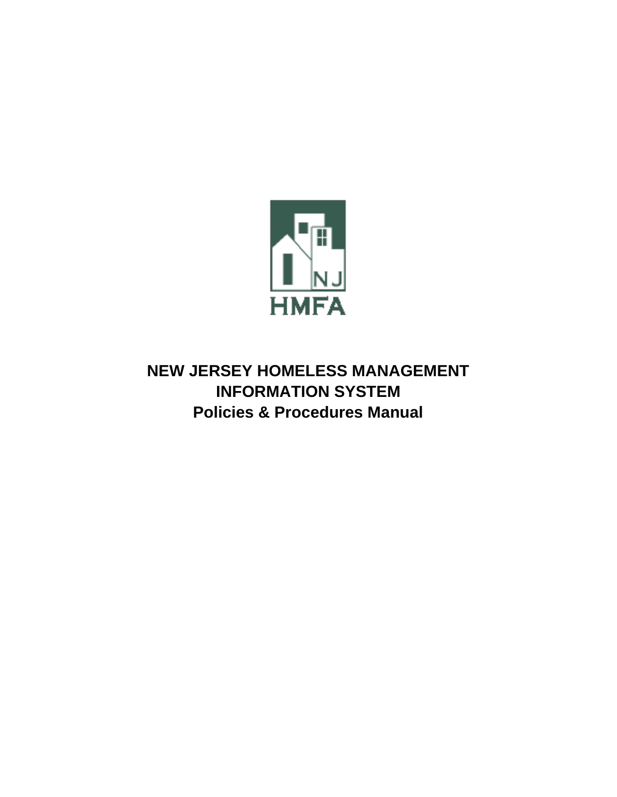

**NEW JERSEY HOMELESS MANAGEMENT INFORMATION SYSTEM Policies & Procedures Manual**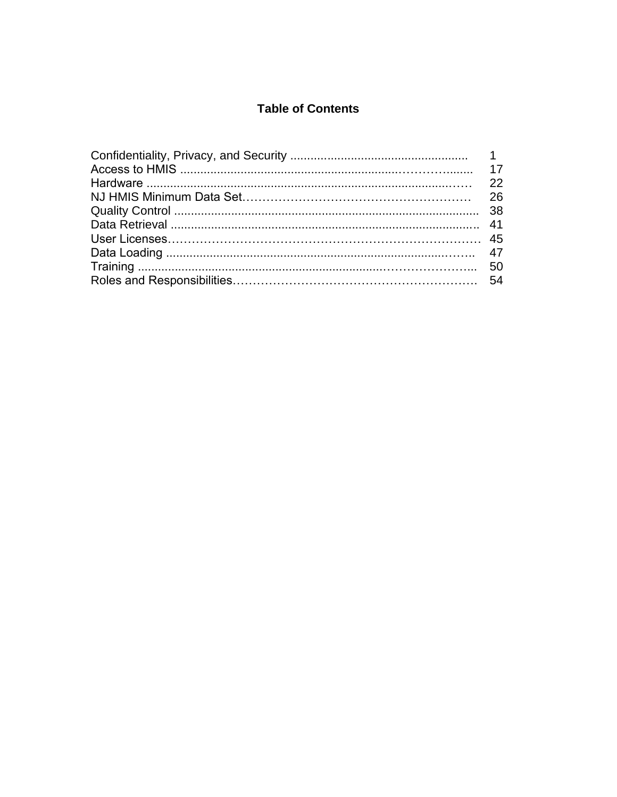## **Table of Contents**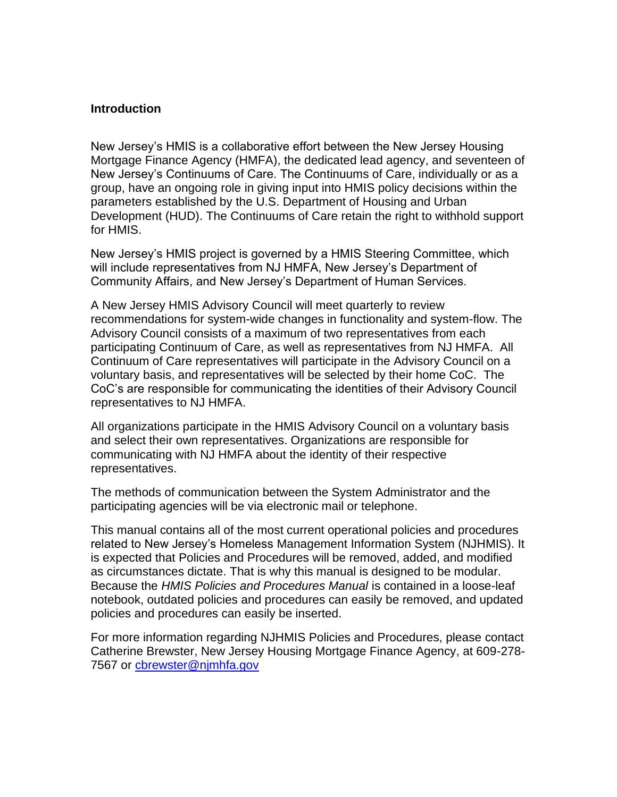#### **Introduction**

New Jersey's HMIS is a collaborative effort between the New Jersey Housing Mortgage Finance Agency (HMFA), the dedicated lead agency, and seventeen of New Jersey's Continuums of Care. The Continuums of Care, individually or as a group, have an ongoing role in giving input into HMIS policy decisions within the parameters established by the U.S. Department of Housing and Urban Development (HUD). The Continuums of Care retain the right to withhold support for HMIS.

New Jersey's HMIS project is governed by a HMIS Steering Committee, which will include representatives from NJ HMFA, New Jersey's Department of Community Affairs, and New Jersey's Department of Human Services.

A New Jersey HMIS Advisory Council will meet quarterly to review recommendations for system-wide changes in functionality and system-flow. The Advisory Council consists of a maximum of two representatives from each participating Continuum of Care, as well as representatives from NJ HMFA. All Continuum of Care representatives will participate in the Advisory Council on a voluntary basis, and representatives will be selected by their home CoC. The CoC's are responsible for communicating the identities of their Advisory Council representatives to NJ HMFA.

All organizations participate in the HMIS Advisory Council on a voluntary basis and select their own representatives. Organizations are responsible for communicating with NJ HMFA about the identity of their respective representatives.

The methods of communication between the System Administrator and the participating agencies will be via electronic mail or telephone.

This manual contains all of the most current operational policies and procedures related to New Jersey's Homeless Management Information System (NJHMIS). It is expected that Policies and Procedures will be removed, added, and modified as circumstances dictate. That is why this manual is designed to be modular. Because the *HMIS Policies and Procedures Manual* is contained in a loose-leaf notebook, outdated policies and procedures can easily be removed, and updated policies and procedures can easily be inserted.

For more information regarding NJHMIS Policies and Procedures, please contact Catherine Brewster, New Jersey Housing Mortgage Finance Agency, at 609-278- 7567 or cbrewster@nimhfa.gov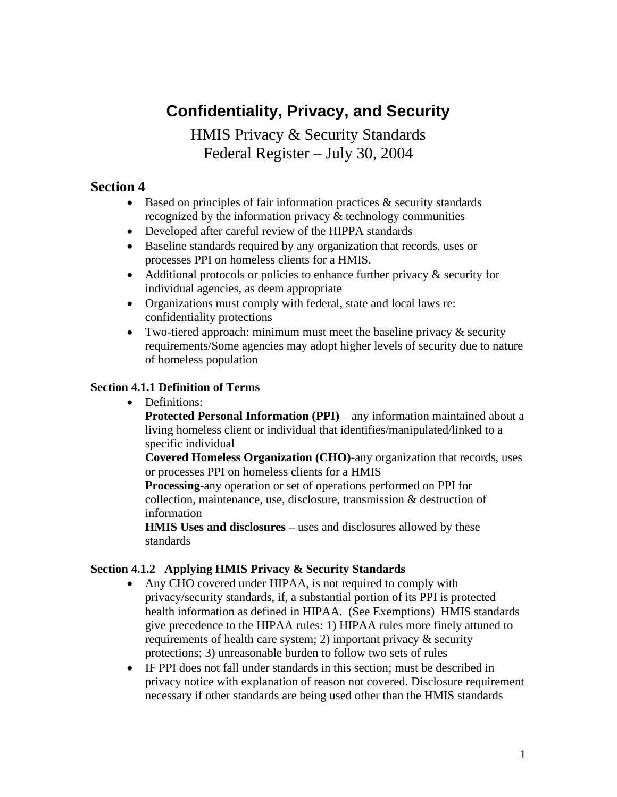# **Confidentiality, Privacy, and Security**

HMIS Privacy & Security Standards Federal Register – July 30, 2004

### **Section 4**

- Based on principles of fair information practices  $\&$  security standards recognized by the information privacy & technology communities
- Developed after careful review of the HIPPA standards
- Baseline standards required by any organization that records, uses or processes PPI on homeless clients for a HMIS.
- Additional protocols or policies to enhance further privacy  $\&$  security for individual agencies, as deem appropriate
- Organizations must comply with federal, state and local laws re: confidentiality protections
- Two-tiered approach: minimum must meet the baseline privacy  $\&$  security requirements/Some agencies may adopt higher levels of security due to nature of homeless population

#### **Section 4.1.1 Definition of Terms**

• Definitions:

**Protected Personal Information (PPI)** – any information maintained about a living homeless client or individual that identifies/manipulated/linked to a specific individual

**Covered Homeless Organization (CHO)-**any organization that records, uses or processes PPI on homeless clients for a HMIS

**Processing-**any operation or set of operations performed on PPI for collection, maintenance, use, disclosure, transmission & destruction of information

**HMIS Uses and disclosures –** uses and disclosures allowed by these standards

### **Section 4.1.2 Applying HMIS Privacy & Security Standards**

- Any CHO covered under HIPAA, is not required to comply with privacy/security standards, if, a substantial portion of its PPI is protected health information as defined in HIPAA. (See Exemptions) HMIS standards give precedence to the HIPAA rules: 1) HIPAA rules more finely attuned to requirements of health care system; 2) important privacy & security protections; 3) unreasonable burden to follow two sets of rules
- IF PPI does not fall under standards in this section; must be described in privacy notice with explanation of reason not covered. Disclosure requirement necessary if other standards are being used other than the HMIS standards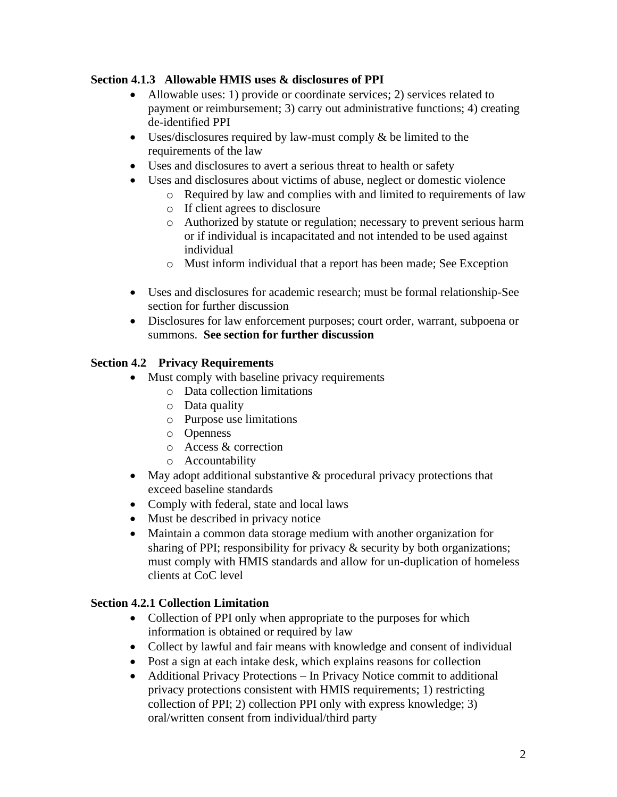### **Section 4.1.3 Allowable HMIS uses & disclosures of PPI**

- Allowable uses: 1) provide or coordinate services; 2) services related to payment or reimbursement; 3) carry out administrative functions; 4) creating de-identified PPI
- Uses/disclosures required by law-must comply & be limited to the requirements of the law
- Uses and disclosures to avert a serious threat to health or safety
- Uses and disclosures about victims of abuse, neglect or domestic violence
	- o Required by law and complies with and limited to requirements of law
	- o If client agrees to disclosure
	- o Authorized by statute or regulation; necessary to prevent serious harm or if individual is incapacitated and not intended to be used against individual
	- o Must inform individual that a report has been made; See Exception
- Uses and disclosures for academic research; must be formal relationship-See section for further discussion
- Disclosures for law enforcement purposes; court order, warrant, subpoena or summons. **See section for further discussion**

### **Section 4.2 Privacy Requirements**

- Must comply with baseline privacy requirements
	- o Data collection limitations
	- o Data quality
	- o Purpose use limitations
	- o Openness
	- o Access & correction
	- o Accountability
- May adopt additional substantive & procedural privacy protections that exceed baseline standards
- Comply with federal, state and local laws
- Must be described in privacy notice
- Maintain a common data storage medium with another organization for sharing of PPI; responsibility for privacy & security by both organizations; must comply with HMIS standards and allow for un-duplication of homeless clients at CoC level

### **Section 4.2.1 Collection Limitation**

- Collection of PPI only when appropriate to the purposes for which information is obtained or required by law
- Collect by lawful and fair means with knowledge and consent of individual
- Post a sign at each intake desk, which explains reasons for collection
- Additional Privacy Protections In Privacy Notice commit to additional privacy protections consistent with HMIS requirements; 1) restricting collection of PPI; 2) collection PPI only with express knowledge; 3) oral/written consent from individual/third party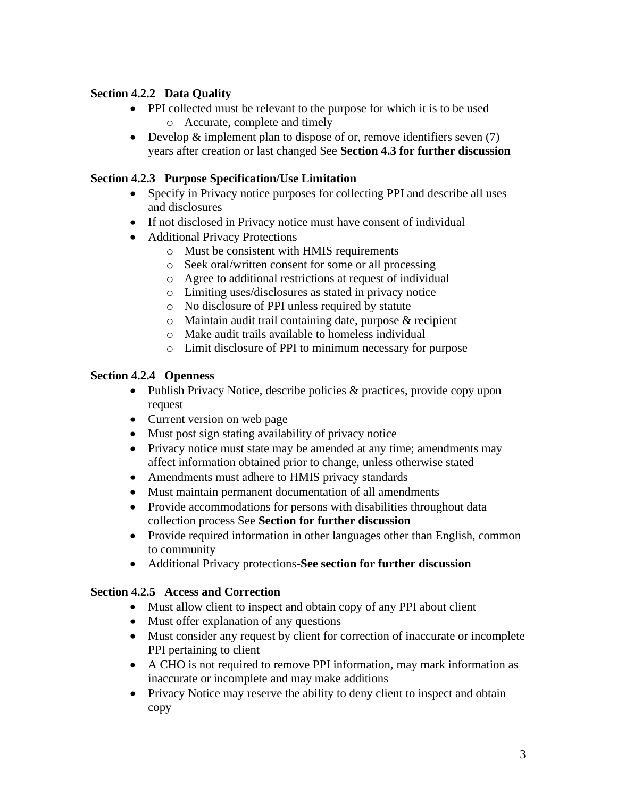### **Section 4.2.2 Data Quality**

- PPI collected must be relevant to the purpose for which it is to be used o Accurate, complete and timely
- Develop & implement plan to dispose of or, remove identifiers seven (7) years after creation or last changed See **Section 4.3 for further discussion**

### **Section 4.2.3 Purpose Specification/Use Limitation**

- Specify in Privacy notice purposes for collecting PPI and describe all uses and disclosures
- If not disclosed in Privacy notice must have consent of individual
- Additional Privacy Protections
	- o Must be consistent with HMIS requirements
	- o Seek oral/written consent for some or all processing
	- o Agree to additional restrictions at request of individual
	- o Limiting uses/disclosures as stated in privacy notice
	- o No disclosure of PPI unless required by statute
	- o Maintain audit trail containing date, purpose & recipient
	- o Make audit trails available to homeless individual
	- o Limit disclosure of PPI to minimum necessary for purpose

#### **Section 4.2.4 Openness**

- Publish Privacy Notice, describe policies & practices, provide copy upon request
- Current version on web page
- Must post sign stating availability of privacy notice
- Privacy notice must state may be amended at any time; amendments may affect information obtained prior to change, unless otherwise stated
- Amendments must adhere to HMIS privacy standards
- Must maintain permanent documentation of all amendments
- Provide accommodations for persons with disabilities throughout data collection process See **Section for further discussion**
- Provide required information in other languages other than English, common to community
- Additional Privacy protections-**See section for further discussion**

### **Section 4.2.5 Access and Correction**

- Must allow client to inspect and obtain copy of any PPI about client
- Must offer explanation of any questions
- Must consider any request by client for correction of inaccurate or incomplete PPI pertaining to client
- A CHO is not required to remove PPI information, may mark information as inaccurate or incomplete and may make additions
- Privacy Notice may reserve the ability to deny client to inspect and obtain copy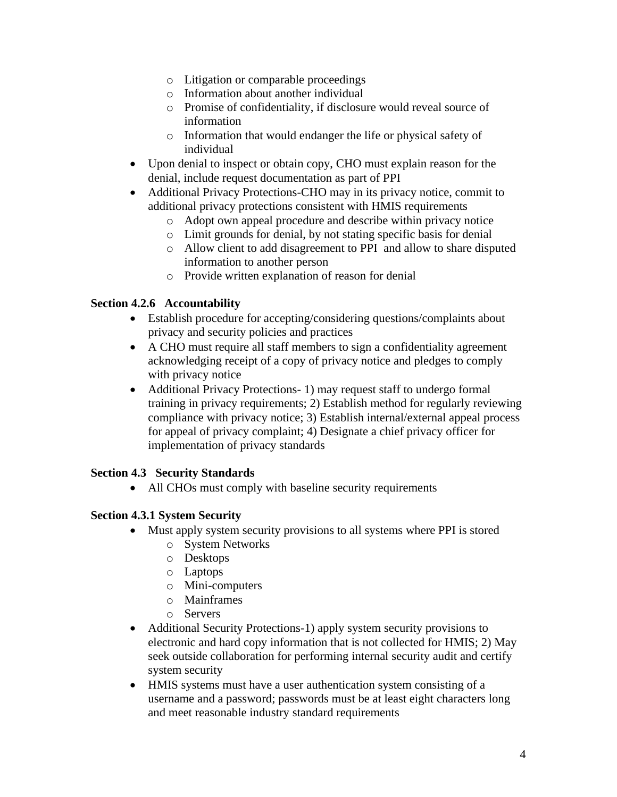- o Litigation or comparable proceedings
- o Information about another individual
- o Promise of confidentiality, if disclosure would reveal source of information
- o Information that would endanger the life or physical safety of individual
- Upon denial to inspect or obtain copy, CHO must explain reason for the denial, include request documentation as part of PPI
- Additional Privacy Protections-CHO may in its privacy notice, commit to additional privacy protections consistent with HMIS requirements
	- o Adopt own appeal procedure and describe within privacy notice
	- o Limit grounds for denial, by not stating specific basis for denial
	- o Allow client to add disagreement to PPI and allow to share disputed information to another person
	- o Provide written explanation of reason for denial

### **Section 4.2.6 Accountability**

- Establish procedure for accepting/considering questions/complaints about privacy and security policies and practices
- A CHO must require all staff members to sign a confidentiality agreement acknowledging receipt of a copy of privacy notice and pledges to comply with privacy notice
- Additional Privacy Protections- 1) may request staff to undergo formal training in privacy requirements; 2) Establish method for regularly reviewing compliance with privacy notice; 3) Establish internal/external appeal process for appeal of privacy complaint; 4) Designate a chief privacy officer for implementation of privacy standards

### **Section 4.3 Security Standards**

• All CHOs must comply with baseline security requirements

### **Section 4.3.1 System Security**

- Must apply system security provisions to all systems where PPI is stored
	- o System Networks
	- o Desktops
	- o Laptops
	- o Mini-computers
	- o Mainframes
	- o Servers
- Additional Security Protections-1) apply system security provisions to electronic and hard copy information that is not collected for HMIS; 2) May seek outside collaboration for performing internal security audit and certify system security
- HMIS systems must have a user authentication system consisting of a username and a password; passwords must be at least eight characters long and meet reasonable industry standard requirements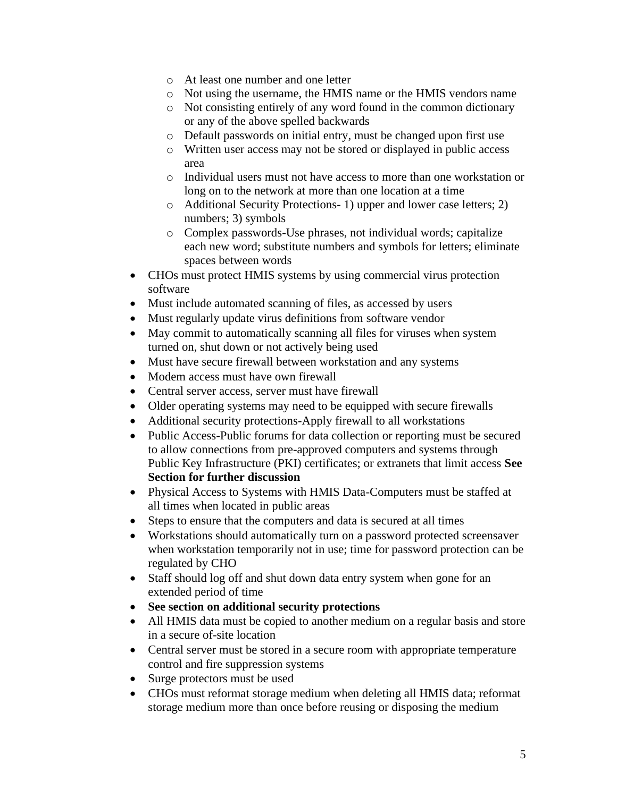- o At least one number and one letter
- o Not using the username, the HMIS name or the HMIS vendors name
- o Not consisting entirely of any word found in the common dictionary or any of the above spelled backwards
- o Default passwords on initial entry, must be changed upon first use
- o Written user access may not be stored or displayed in public access area
- o Individual users must not have access to more than one workstation or long on to the network at more than one location at a time
- o Additional Security Protections- 1) upper and lower case letters; 2) numbers; 3) symbols
- o Complex passwords-Use phrases, not individual words; capitalize each new word; substitute numbers and symbols for letters; eliminate spaces between words
- CHOs must protect HMIS systems by using commercial virus protection software
- Must include automated scanning of files, as accessed by users
- Must regularly update virus definitions from software vendor
- May commit to automatically scanning all files for viruses when system turned on, shut down or not actively being used
- Must have secure firewall between workstation and any systems
- Modem access must have own firewall
- Central server access, server must have firewall
- Older operating systems may need to be equipped with secure firewalls
- Additional security protections-Apply firewall to all workstations
- Public Access-Public forums for data collection or reporting must be secured to allow connections from pre-approved computers and systems through Public Key Infrastructure (PKI) certificates; or extranets that limit access **See Section for further discussion**
- Physical Access to Systems with HMIS Data-Computers must be staffed at all times when located in public areas
- Steps to ensure that the computers and data is secured at all times
- Workstations should automatically turn on a password protected screensaver when workstation temporarily not in use; time for password protection can be regulated by CHO
- Staff should log off and shut down data entry system when gone for an extended period of time
- **See section on additional security protections**
- All HMIS data must be copied to another medium on a regular basis and store in a secure of-site location
- Central server must be stored in a secure room with appropriate temperature control and fire suppression systems
- Surge protectors must be used
- CHOs must reformat storage medium when deleting all HMIS data; reformat storage medium more than once before reusing or disposing the medium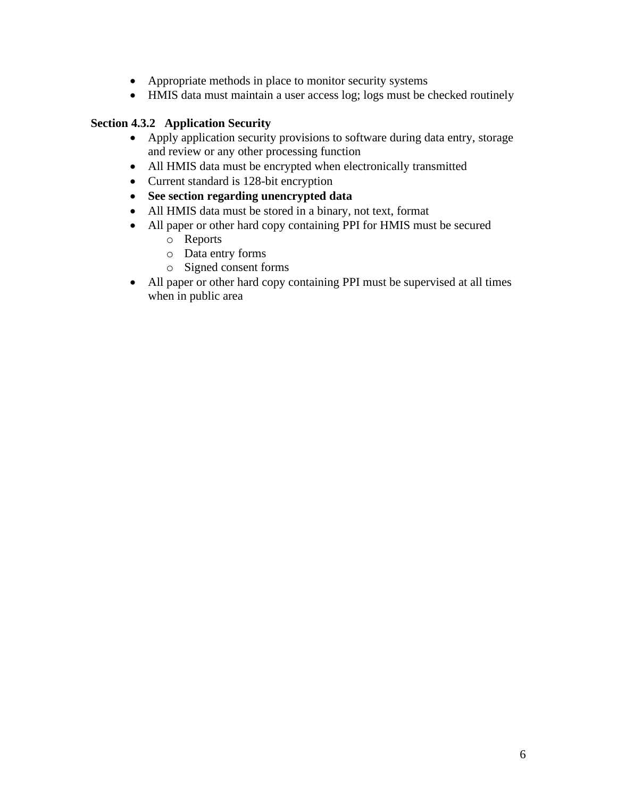- Appropriate methods in place to monitor security systems
- HMIS data must maintain a user access log; logs must be checked routinely

### **Section 4.3.2 Application Security**

- Apply application security provisions to software during data entry, storage and review or any other processing function
- All HMIS data must be encrypted when electronically transmitted
- Current standard is 128-bit encryption
- **See section regarding unencrypted data**
- All HMIS data must be stored in a binary, not text, format
- All paper or other hard copy containing PPI for HMIS must be secured
	- o Reports
	- o Data entry forms
	- o Signed consent forms
- All paper or other hard copy containing PPI must be supervised at all times when in public area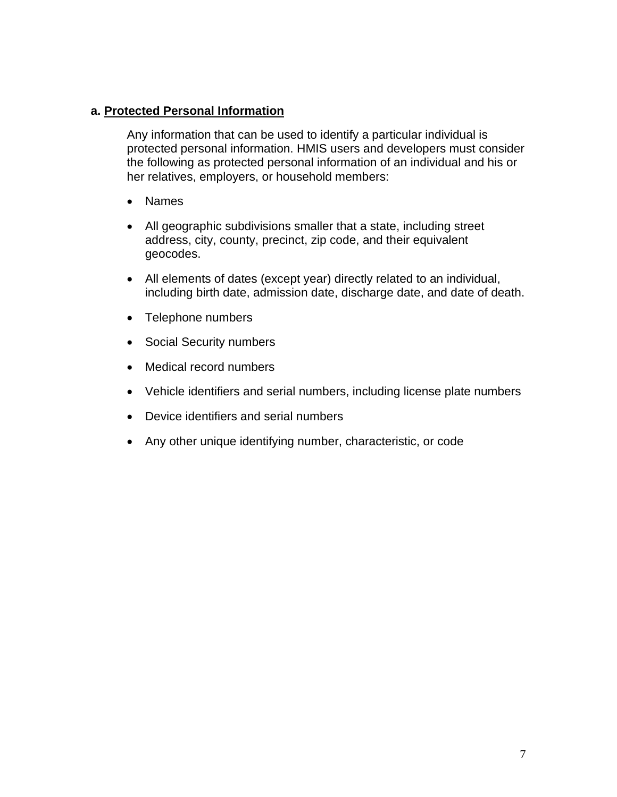### **a. Protected Personal Information**

Any information that can be used to identify a particular individual is protected personal information. HMIS users and developers must consider the following as protected personal information of an individual and his or her relatives, employers, or household members:

- Names
- All geographic subdivisions smaller that a state, including street address, city, county, precinct, zip code, and their equivalent geocodes.
- All elements of dates (except year) directly related to an individual, including birth date, admission date, discharge date, and date of death.
- Telephone numbers
- Social Security numbers
- Medical record numbers
- Vehicle identifiers and serial numbers, including license plate numbers
- Device identifiers and serial numbers
- Any other unique identifying number, characteristic, or code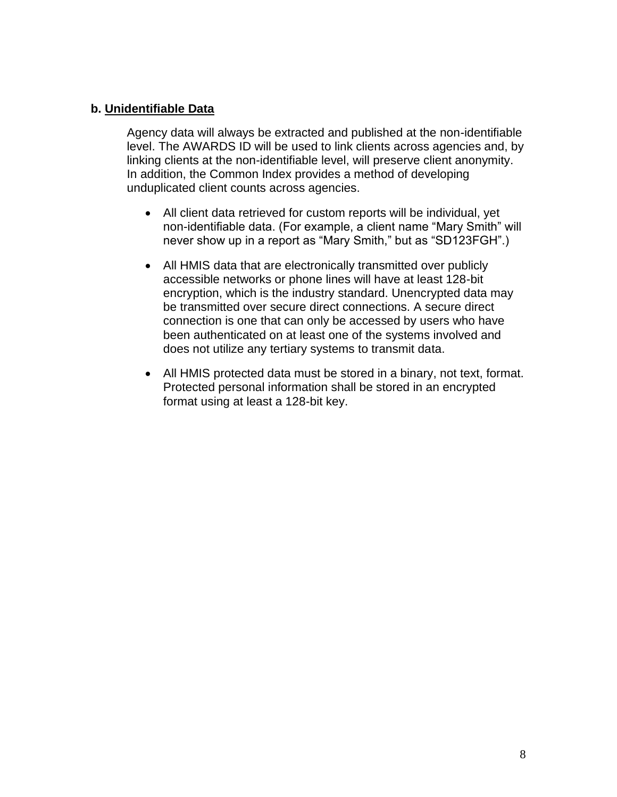### **b. Unidentifiable Data**

Agency data will always be extracted and published at the non-identifiable level. The AWARDS ID will be used to link clients across agencies and, by linking clients at the non-identifiable level, will preserve client anonymity. In addition, the Common Index provides a method of developing unduplicated client counts across agencies.

- All client data retrieved for custom reports will be individual, yet non-identifiable data. (For example, a client name "Mary Smith" will never show up in a report as "Mary Smith," but as "SD123FGH".)
- All HMIS data that are electronically transmitted over publicly accessible networks or phone lines will have at least 128-bit encryption, which is the industry standard. Unencrypted data may be transmitted over secure direct connections. A secure direct connection is one that can only be accessed by users who have been authenticated on at least one of the systems involved and does not utilize any tertiary systems to transmit data.
- All HMIS protected data must be stored in a binary, not text, format. Protected personal information shall be stored in an encrypted format using at least a 128-bit key.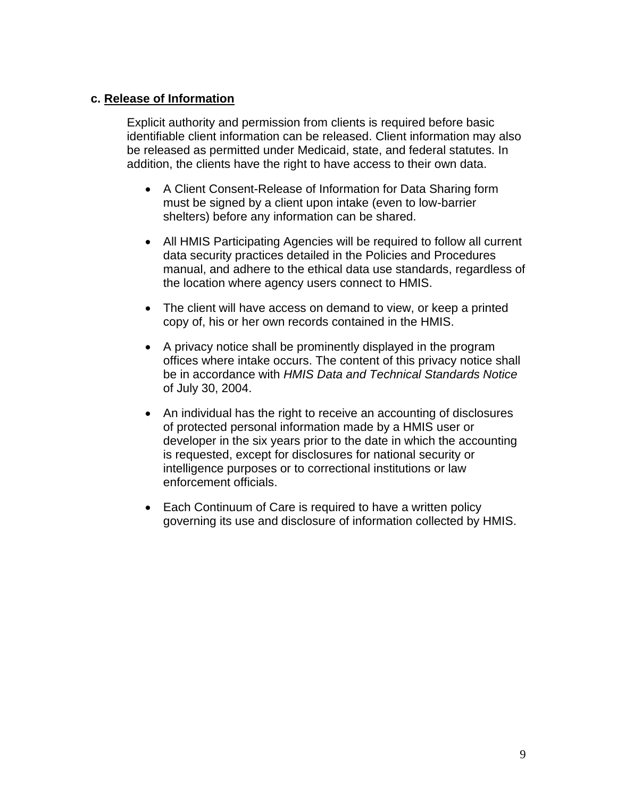### **c. Release of Information**

Explicit authority and permission from clients is required before basic identifiable client information can be released. Client information may also be released as permitted under Medicaid, state, and federal statutes. In addition, the clients have the right to have access to their own data.

- A Client Consent-Release of Information for Data Sharing form must be signed by a client upon intake (even to low-barrier shelters) before any information can be shared.
- All HMIS Participating Agencies will be required to follow all current data security practices detailed in the Policies and Procedures manual, and adhere to the ethical data use standards, regardless of the location where agency users connect to HMIS.
- The client will have access on demand to view, or keep a printed copy of, his or her own records contained in the HMIS.
- A privacy notice shall be prominently displayed in the program offices where intake occurs. The content of this privacy notice shall be in accordance with *HMIS Data and Technical Standards Notice* of July 30, 2004.
- An individual has the right to receive an accounting of disclosures of protected personal information made by a HMIS user or developer in the six years prior to the date in which the accounting is requested, except for disclosures for national security or intelligence purposes or to correctional institutions or law enforcement officials.
- Each Continuum of Care is required to have a written policy governing its use and disclosure of information collected by HMIS.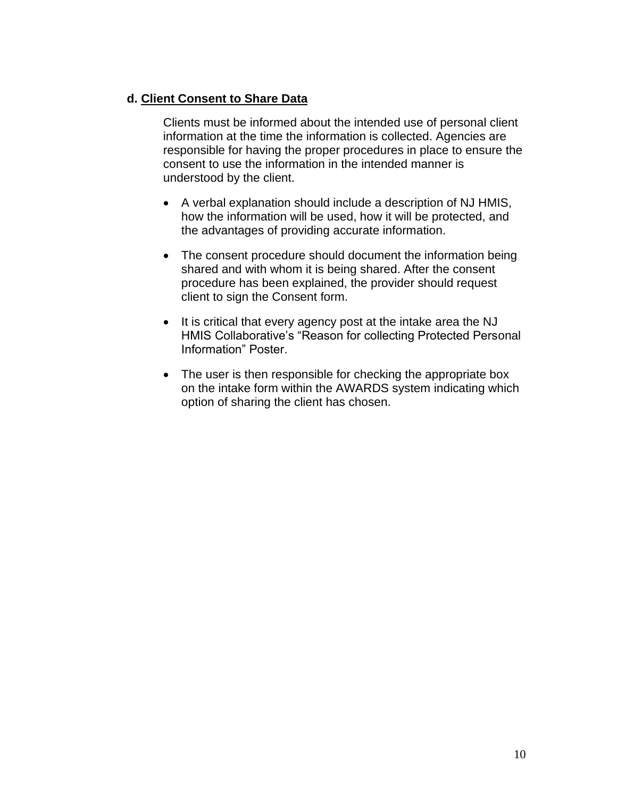### **d. Client Consent to Share Data**

Clients must be informed about the intended use of personal client information at the time the information is collected. Agencies are responsible for having the proper procedures in place to ensure the consent to use the information in the intended manner is understood by the client.

- A verbal explanation should include a description of NJ HMIS, how the information will be used, how it will be protected, and the advantages of providing accurate information.
- The consent procedure should document the information being shared and with whom it is being shared. After the consent procedure has been explained, the provider should request client to sign the Consent form.
- It is critical that every agency post at the intake area the NJ HMIS Collaborative's "Reason for collecting Protected Personal Information" Poster.
- The user is then responsible for checking the appropriate box on the intake form within the AWARDS system indicating which option of sharing the client has chosen.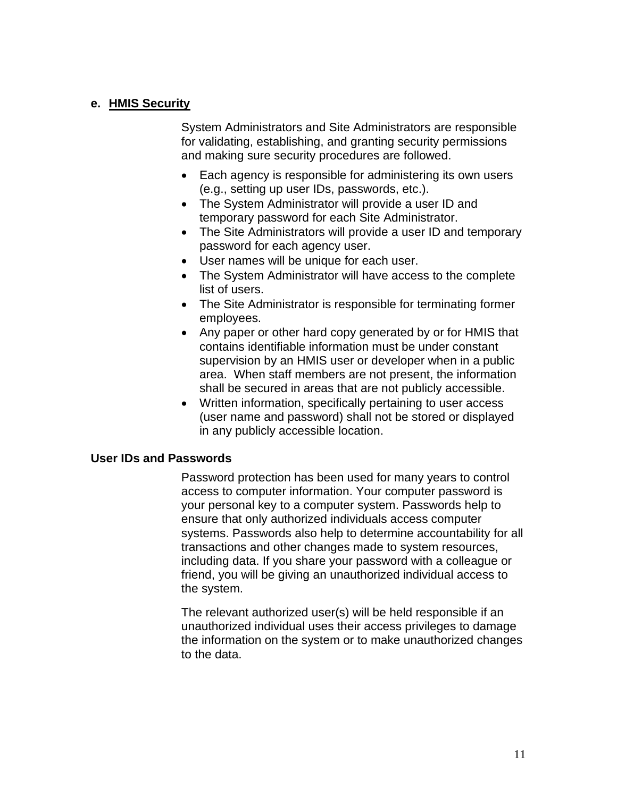### **e. HMIS Security**

System Administrators and Site Administrators are responsible for validating, establishing, and granting security permissions and making sure security procedures are followed.

- Each agency is responsible for administering its own users (e.g., setting up user IDs, passwords, etc.).
- The System Administrator will provide a user ID and temporary password for each Site Administrator.
- The Site Administrators will provide a user ID and temporary password for each agency user.
- User names will be unique for each user.
- The System Administrator will have access to the complete list of users.
- The Site Administrator is responsible for terminating former employees.
- Any paper or other hard copy generated by or for HMIS that contains identifiable information must be under constant supervision by an HMIS user or developer when in a public area. When staff members are not present, the information shall be secured in areas that are not publicly accessible.
- Written information, specifically pertaining to user access (user name and password) shall not be stored or displayed in any publicly accessible location.

#### **User IDs and Passwords**

Password protection has been used for many years to control access to computer information. Your computer password is your personal key to a computer system. Passwords help to ensure that only authorized individuals access computer systems. Passwords also help to determine accountability for all transactions and other changes made to system resources, including data. If you share your password with a colleague or friend, you will be giving an unauthorized individual access to the system.

The relevant authorized user(s) will be held responsible if an unauthorized individual uses their access privileges to damage the information on the system or to make unauthorized changes to the data.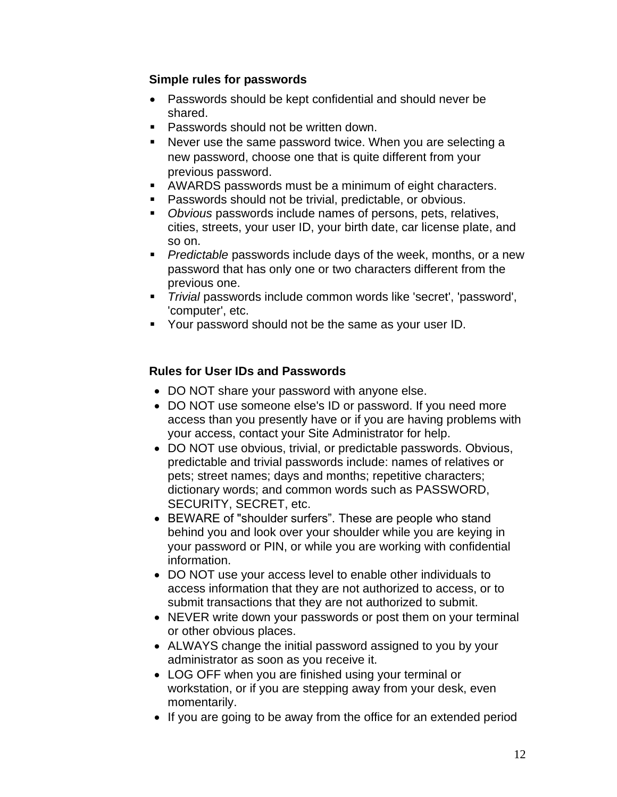### **Simple rules for passwords**

- Passwords should be kept confidential and should never be shared.
- Passwords should not be written down.
- Never use the same password twice. When you are selecting a new password, choose one that is quite different from your previous password.
- AWARDS passwords must be a minimum of eight characters.
- Passwords should not be trivial, predictable, or obvious.
- *Obvious* passwords include names of persons, pets, relatives, cities, streets, your user ID, your birth date, car license plate, and so on.
- **•** *Predictable* passwords include days of the week, months, or a new password that has only one or two characters different from the previous one.
- *Trivial* passwords include common words like 'secret', 'password', 'computer', etc.
- Your password should not be the same as your user ID.

### **Rules for User IDs and Passwords**

- DO NOT share your password with anyone else.
- DO NOT use someone else's ID or password. If you need more access than you presently have or if you are having problems with your access, contact your Site Administrator for help.
- DO NOT use obvious, trivial, or predictable passwords. Obvious, predictable and trivial passwords include: names of relatives or pets; street names; days and months; repetitive characters; dictionary words; and common words such as PASSWORD, SECURITY, SECRET, etc.
- BEWARE of "shoulder surfers". These are people who stand behind you and look over your shoulder while you are keying in your password or PIN, or while you are working with confidential information.
- DO NOT use your access level to enable other individuals to access information that they are not authorized to access, or to submit transactions that they are not authorized to submit.
- NEVER write down your passwords or post them on your terminal or other obvious places.
- ALWAYS change the initial password assigned to you by your administrator as soon as you receive it.
- LOG OFF when you are finished using your terminal or workstation, or if you are stepping away from your desk, even momentarily.
- If you are going to be away from the office for an extended period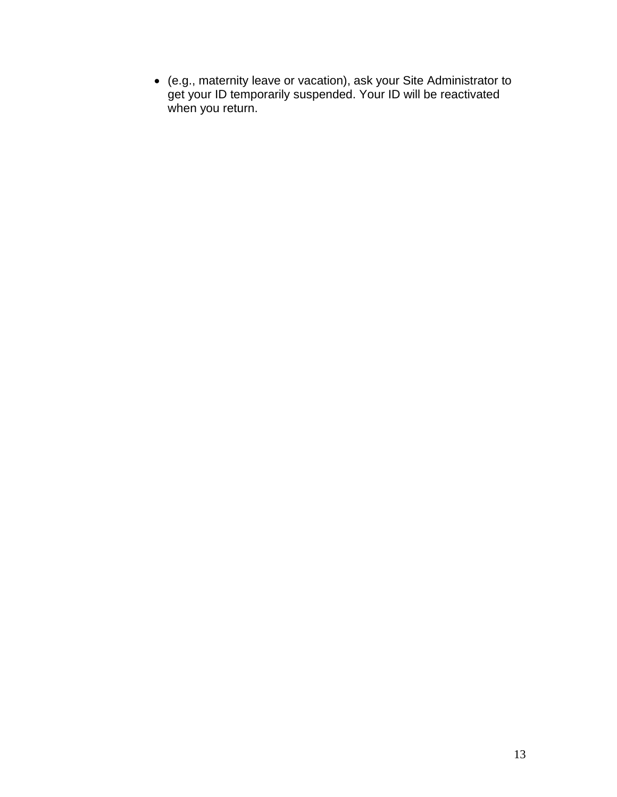• (e.g., maternity leave or vacation), ask your Site Administrator to get your ID temporarily suspended. Your ID will be reactivated when you return.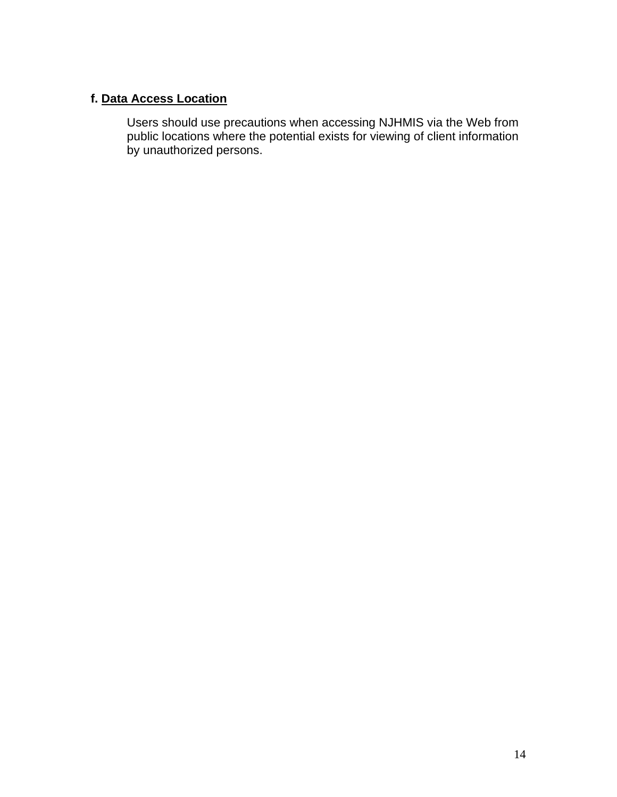### **f. Data Access Location**

Users should use precautions when accessing NJHMIS via the Web from public locations where the potential exists for viewing of client information by unauthorized persons.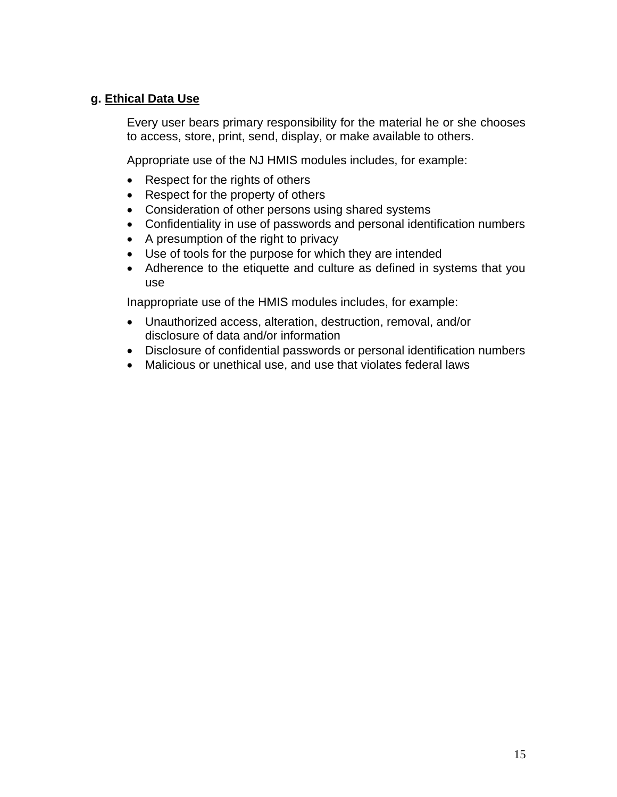### **g. Ethical Data Use**

Every user bears primary responsibility for the material he or she chooses to access, store, print, send, display, or make available to others.

Appropriate use of the NJ HMIS modules includes, for example:

- Respect for the rights of others
- Respect for the property of others
- Consideration of other persons using shared systems
- Confidentiality in use of passwords and personal identification numbers
- A presumption of the right to privacy
- Use of tools for the purpose for which they are intended
- Adherence to the etiquette and culture as defined in systems that you use

Inappropriate use of the HMIS modules includes, for example:

- Unauthorized access, alteration, destruction, removal, and/or disclosure of data and/or information
- Disclosure of confidential passwords or personal identification numbers
- Malicious or unethical use, and use that violates federal laws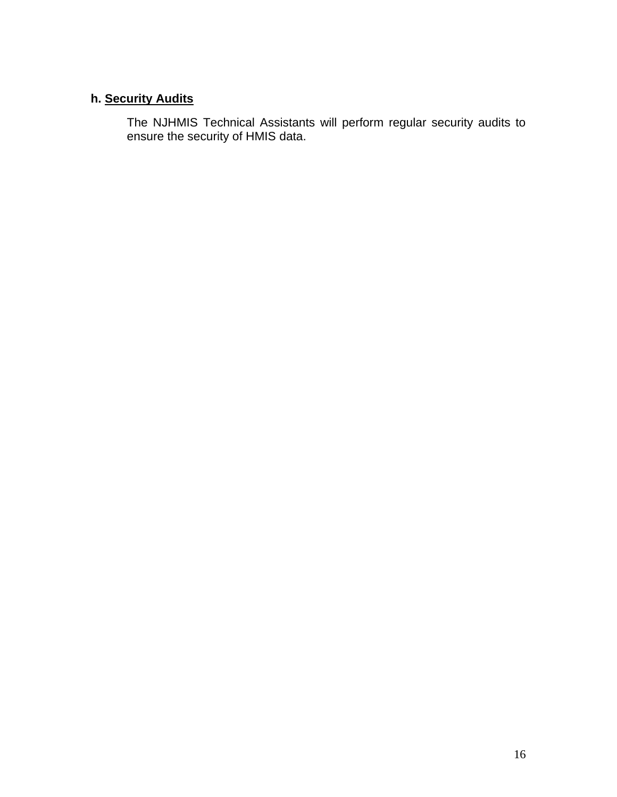# **h. Security Audits**

The NJHMIS Technical Assistants will perform regular security audits to ensure the security of HMIS data.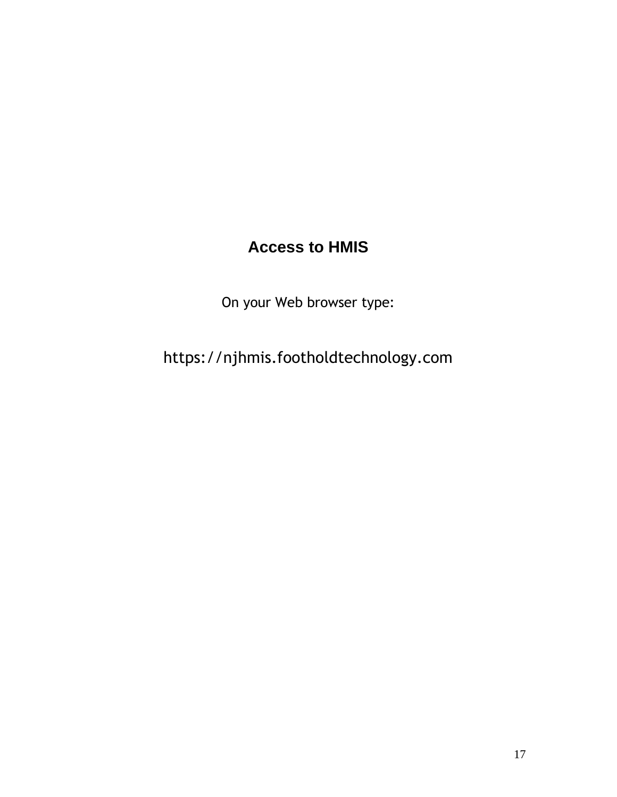# **Access to HMIS**

On your Web browser type:

https://njhmis.footholdtechnology.com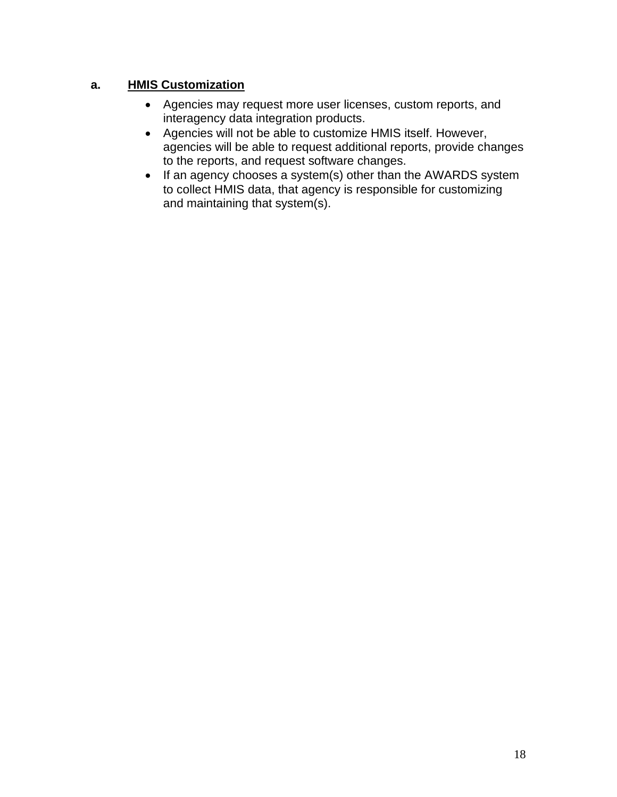### **a. HMIS Customization**

- Agencies may request more user licenses, custom reports, and interagency data integration products.
- Agencies will not be able to customize HMIS itself. However, agencies will be able to request additional reports, provide changes to the reports, and request software changes.
- If an agency chooses a system(s) other than the AWARDS system to collect HMIS data, that agency is responsible for customizing and maintaining that system(s).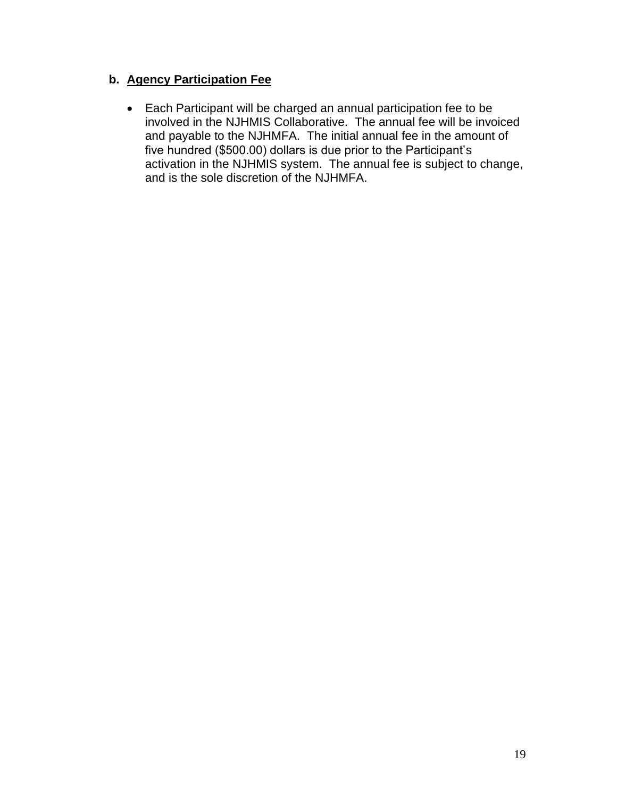### **b. Agency Participation Fee**

• Each Participant will be charged an annual participation fee to be involved in the NJHMIS Collaborative. The annual fee will be invoiced and payable to the NJHMFA. The initial annual fee in the amount of five hundred (\$500.00) dollars is due prior to the Participant's activation in the NJHMIS system. The annual fee is subject to change, and is the sole discretion of the NJHMFA.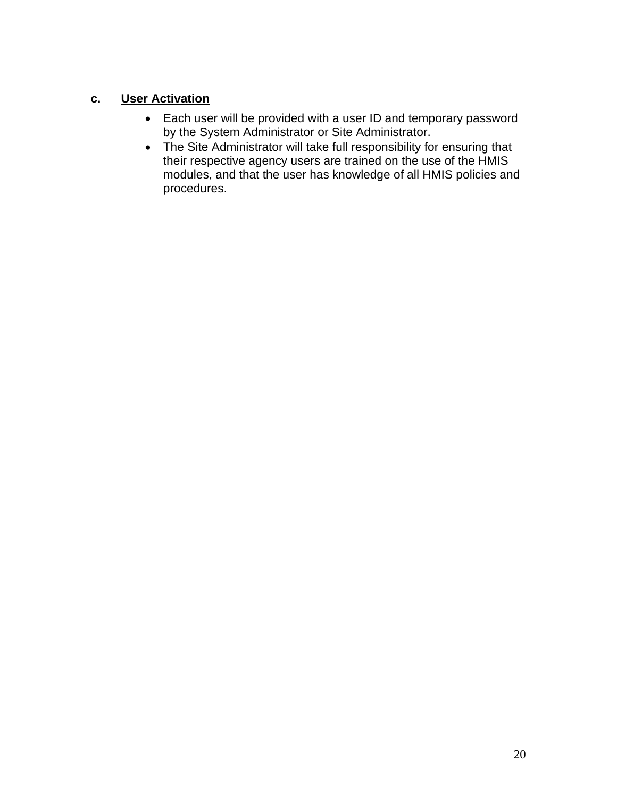# **c. User Activation**

- Each user will be provided with a user ID and temporary password by the System Administrator or Site Administrator.
- The Site Administrator will take full responsibility for ensuring that their respective agency users are trained on the use of the HMIS modules, and that the user has knowledge of all HMIS policies and procedures.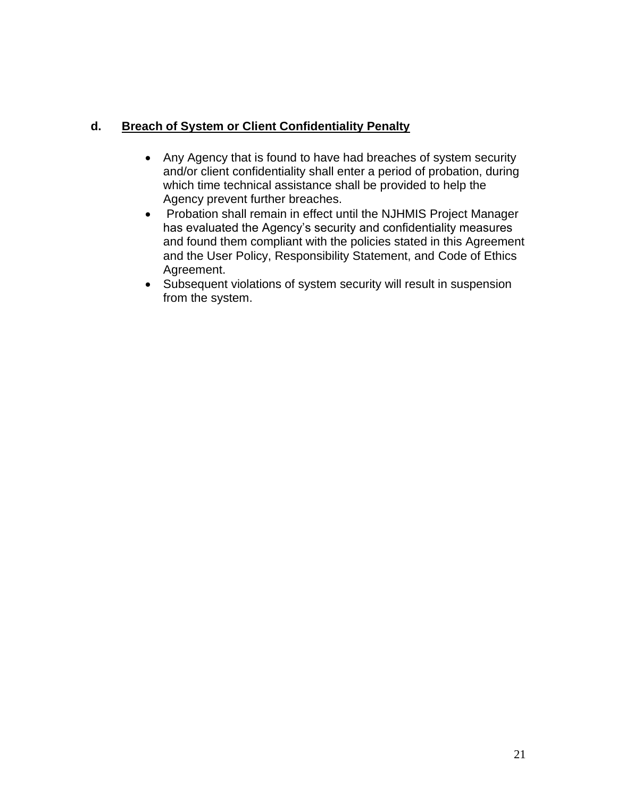### **d. Breach of System or Client Confidentiality Penalty**

- Any Agency that is found to have had breaches of system security and/or client confidentiality shall enter a period of probation, during which time technical assistance shall be provided to help the Agency prevent further breaches.
- Probation shall remain in effect until the NJHMIS Project Manager has evaluated the Agency's security and confidentiality measures and found them compliant with the policies stated in this Agreement and the User Policy, Responsibility Statement, and Code of Ethics Agreement.
- Subsequent violations of system security will result in suspension from the system.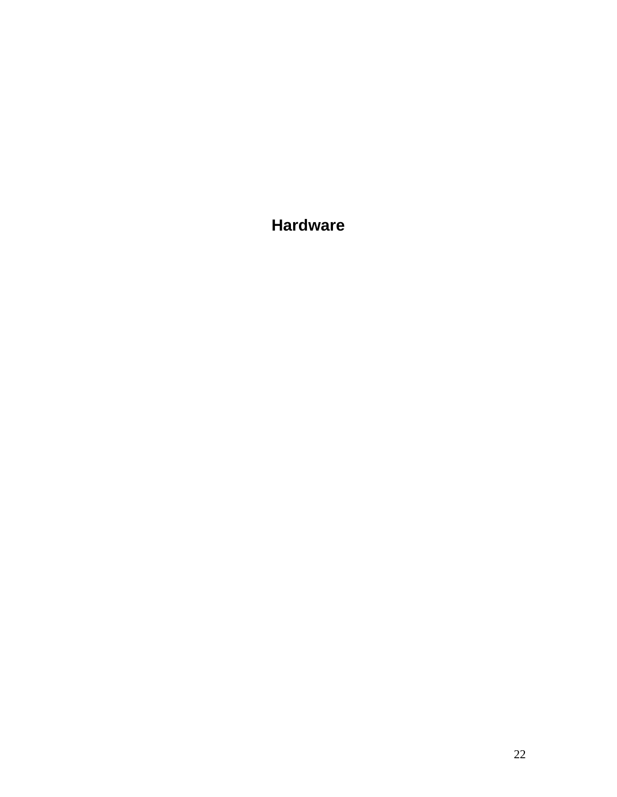**Hardware**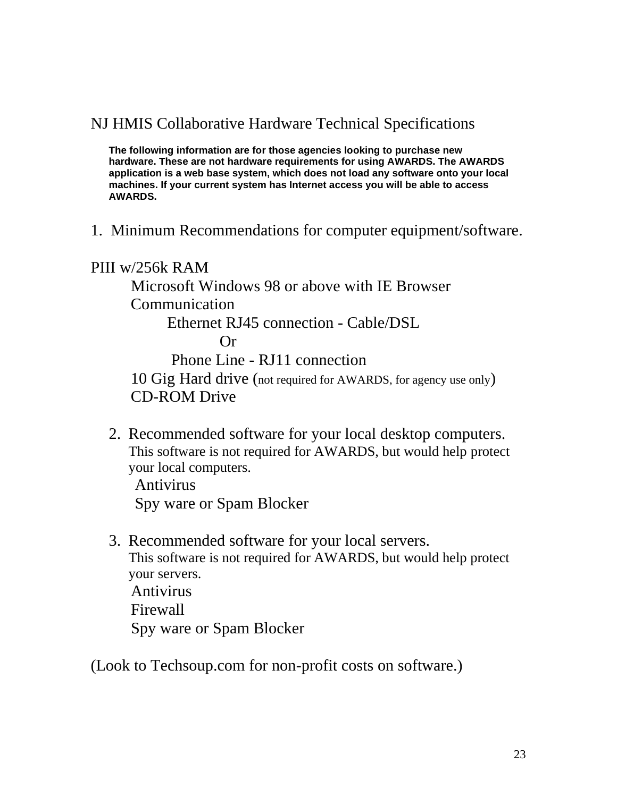# NJ HMIS Collaborative Hardware Technical Specifications

**The following information are for those agencies looking to purchase new hardware. These are not hardware requirements for using AWARDS. The AWARDS application is a web base system, which does not load any software onto your local machines. If your current system has Internet access you will be able to access AWARDS.** 

1. Minimum Recommendations for computer equipment/software.

PIII w/256k RAM Microsoft Windows 98 or above with IE Browser Communication Ethernet RJ45 connection - Cable/DSL Or Phone Line - RJ11 connection 10 Gig Hard drive (not required for AWARDS, for agency use only) CD-ROM Drive

2. Recommended software for your local desktop computers. This software is not required for AWARDS, but would help protect your local computers.

 Antivirus Spy ware or Spam Blocker

3. Recommended software for your local servers. This software is not required for AWARDS, but would help protect your servers. Antivirus Firewall Spy ware or Spam Blocker

(Look to Techsoup.com for non-profit costs on software.)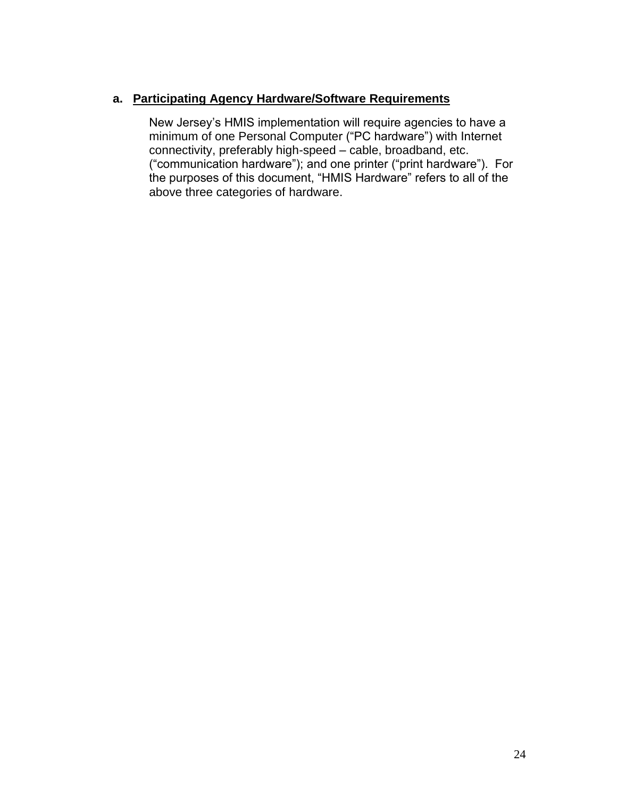### **a. Participating Agency Hardware/Software Requirements**

New Jersey's HMIS implementation will require agencies to have a minimum of one Personal Computer ("PC hardware") with Internet connectivity, preferably high-speed – cable, broadband, etc. ("communication hardware"); and one printer ("print hardware"). For the purposes of this document, "HMIS Hardware" refers to all of the above three categories of hardware.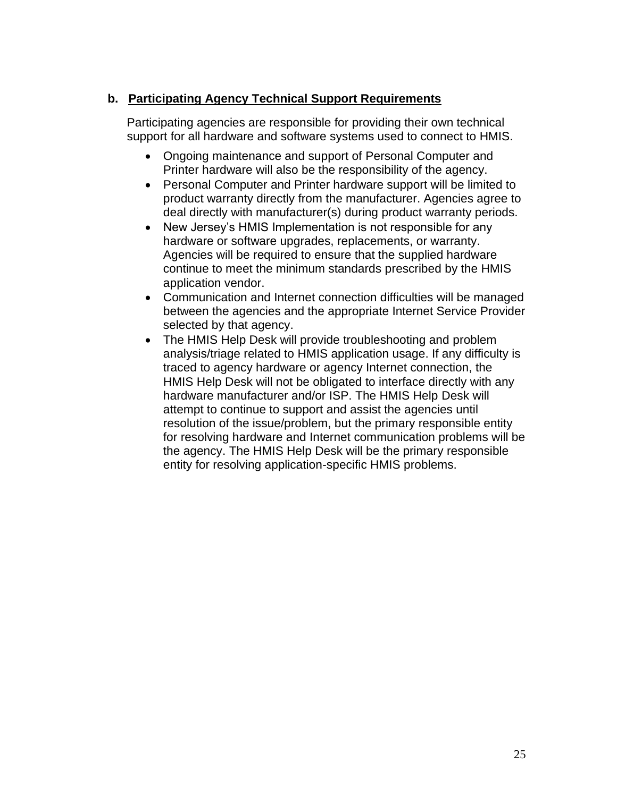### **b. Participating Agency Technical Support Requirements**

Participating agencies are responsible for providing their own technical support for all hardware and software systems used to connect to HMIS.

- Ongoing maintenance and support of Personal Computer and Printer hardware will also be the responsibility of the agency.
- Personal Computer and Printer hardware support will be limited to product warranty directly from the manufacturer. Agencies agree to deal directly with manufacturer(s) during product warranty periods.
- New Jersey's HMIS Implementation is not responsible for any hardware or software upgrades, replacements, or warranty. Agencies will be required to ensure that the supplied hardware continue to meet the minimum standards prescribed by the HMIS application vendor.
- Communication and Internet connection difficulties will be managed between the agencies and the appropriate Internet Service Provider selected by that agency.
- The HMIS Help Desk will provide troubleshooting and problem analysis/triage related to HMIS application usage. If any difficulty is traced to agency hardware or agency Internet connection, the HMIS Help Desk will not be obligated to interface directly with any hardware manufacturer and/or ISP. The HMIS Help Desk will attempt to continue to support and assist the agencies until resolution of the issue/problem, but the primary responsible entity for resolving hardware and Internet communication problems will be the agency. The HMIS Help Desk will be the primary responsible entity for resolving application-specific HMIS problems.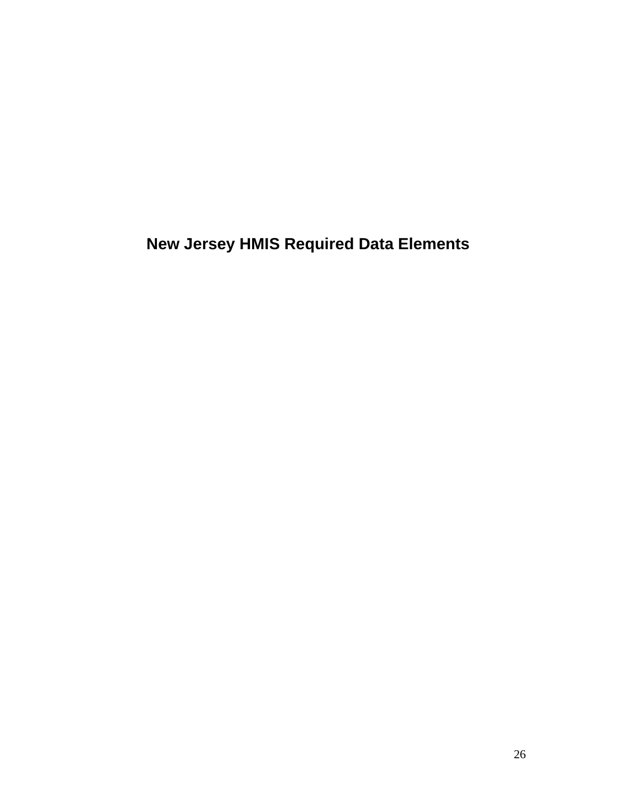**New Jersey HMIS Required Data Elements**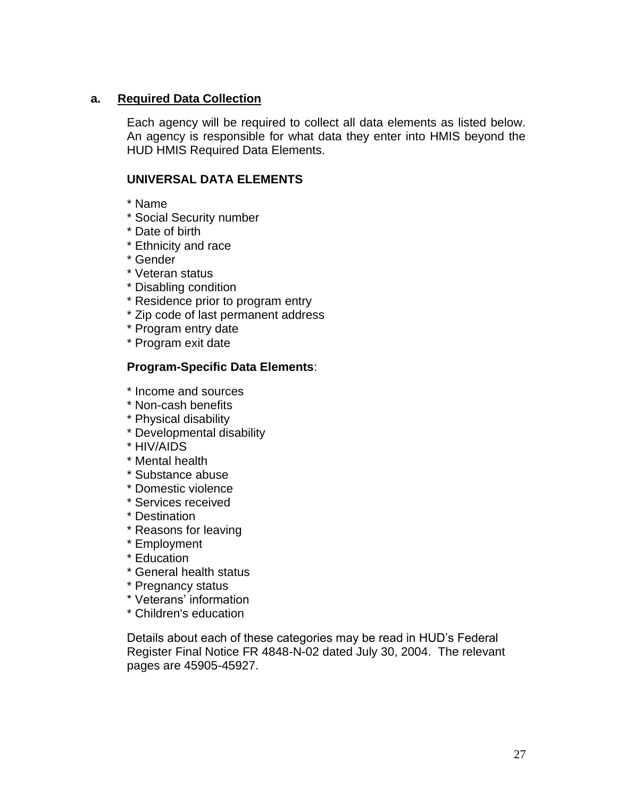### **a. Required Data Collection**

Each agency will be required to collect all data elements as listed below. An agency is responsible for what data they enter into HMIS beyond the HUD HMIS Required Data Elements.

### **UNIVERSAL DATA ELEMENTS**

- \* Name
- \* Social Security number
- \* Date of birth
- \* Ethnicity and race
- \* Gender
- \* Veteran status
- \* Disabling condition
- \* Residence prior to program entry
- \* Zip code of last permanent address
- \* Program entry date
- \* Program exit date

#### **Program-Specific Data Elements**:

- \* Income and sources
- \* Non-cash benefits
- \* Physical disability
- \* Developmental disability
- \* HIV/AIDS
- \* Mental health
- \* Substance abuse
- \* Domestic violence
- \* Services received
- \* Destination
- \* Reasons for leaving
- \* Employment
- \* Education
- \* General health status
- \* Pregnancy status
- \* Veterans' information
- \* Children's education

Details about each of these categories may be read in HUD's Federal Register Final Notice FR 4848-N-02 dated July 30, 2004. The relevant pages are 45905-45927.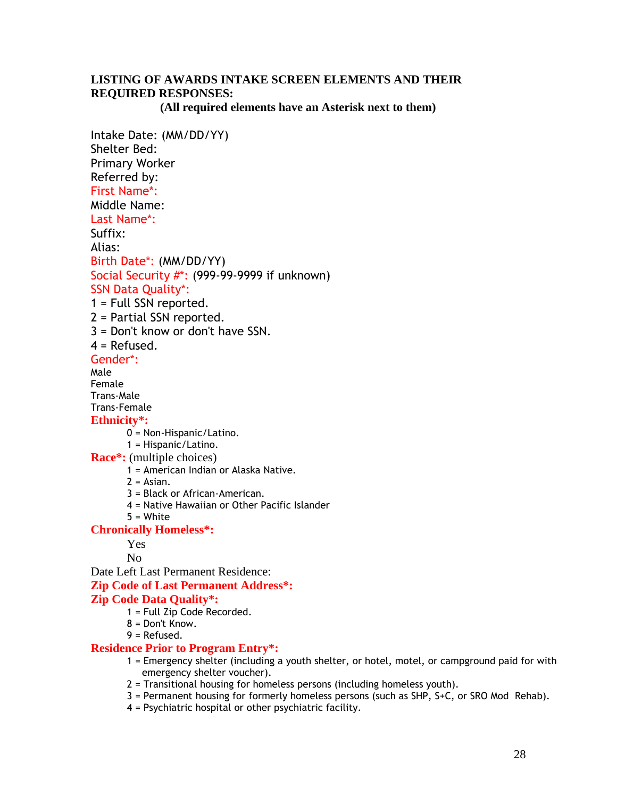### **LISTING OF AWARDS INTAKE SCREEN ELEMENTS AND THEIR REQUIRED RESPONSES:**

 **(All required elements have an Asterisk next to them)**

Intake Date: (MM/DD/YY) Shelter Bed: Primary Worker Referred by: First Name\*: Middle Name: Last Name\*: Suffix: Alias: Birth Date\*: (MM/DD/YY) Social Security #\*: (999-99-9999 if unknown) SSN Data Quality\*: 1 = Full SSN reported. 2 = Partial SSN reported. 3 = Don't know or don't have SSN.  $4 = Refused$ . Gender\*: Male Female Trans-Male Trans-Female **Ethnicity\*:** 0 = Non-Hispanic/Latino. 1 = Hispanic/Latino. **Race\*:** (multiple choices) 1 = American Indian or Alaska Native.  $2 = Asian.$ 3 = Black or African-American. 4 = Native Hawaiian or Other Pacific Islander 5 = White **Chronically Homeless\*:** Yes No Date Left Last Permanent Residence: **Zip Code of Last Permanent Address\*: Zip Code Data Quality\*:** 1 = Full Zip Code Recorded. 8 = Don't Know. 9 = Refused. **Residence Prior to Program Entry\*:** 1 = Emergency shelter (including a youth shelter, or hotel, motel, or campground paid for with emergency shelter voucher). 2 = Transitional housing for homeless persons (including homeless youth).

- 3 = Permanent housing for formerly homeless persons (such as SHP, S+C, or SRO Mod Rehab).
- 4 = Psychiatric hospital or other psychiatric facility.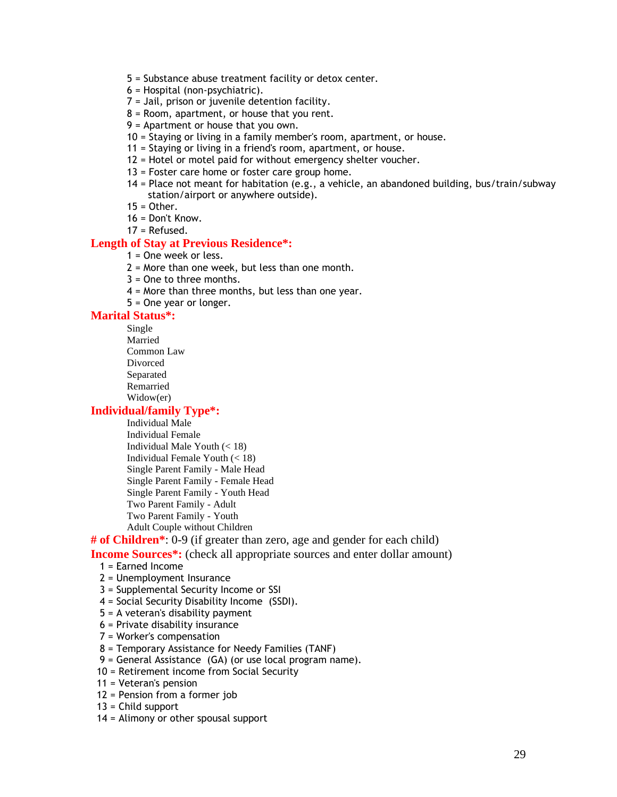- 5 = Substance abuse treatment facility or detox center.
- 6 = Hospital (non-psychiatric).
- 7 = Jail, prison or juvenile detention facility.
- 8 = Room, apartment, or house that you rent.
- 9 = Apartment or house that you own.
- 10 = Staying or living in a family member's room, apartment, or house.
- 11 = Staying or living in a friend's room, apartment, or house.
- 12 = Hotel or motel paid for without emergency shelter voucher.
- 13 = Foster care home or foster care group home.
- 14 = Place not meant for habitation (e.g., a vehicle, an abandoned building, bus/train/subway station/airport or anywhere outside).
- $15 =$ Other.
- $16 =$  Don't Know.
- 17 = Refused.

#### **Length of Stay at Previous Residence\*:**

- 1 = One week or less.
- 2 = More than one week, but less than one month.
- 3 = One to three months.
- 4 = More than three months, but less than one year.
- 5 = One year or longer.

#### **Marital Status\*:**

Single Married

Common Law

Divorced

Separated

Remarried

Widow(er)

#### **Individual/family Type\*:**

Individual Male Individual Female Individual Male Youth  $(< 18)$ Individual Female Youth  $(< 18)$ Single Parent Family - Male Head Single Parent Family - Female Head Single Parent Family - Youth Head Two Parent Family - Adult Two Parent Family - Youth Adult Couple without Children

#### **# of Children\***: 0-9 (if greater than zero, age and gender for each child)

**Income Sources<sup>\*</sup>:** (check all appropriate sources and enter dollar amount)

- 1 = Earned Income
- 2 = Unemployment Insurance
- 3 = Supplemental Security Income or SSI
- 4 = Social Security Disability Income (SSDI).
- 5 = A veteran's disability payment
- 6 = Private disability insurance
- 7 = Worker's compensation
- 8 = Temporary Assistance for Needy Families (TANF)
- 9 = General Assistance (GA) (or use local program name).
- 10 = Retirement income from Social Security
- 11 = Veteran's pension
- 12 = Pension from a former job
- 13 = Child support
- 14 = Alimony or other spousal support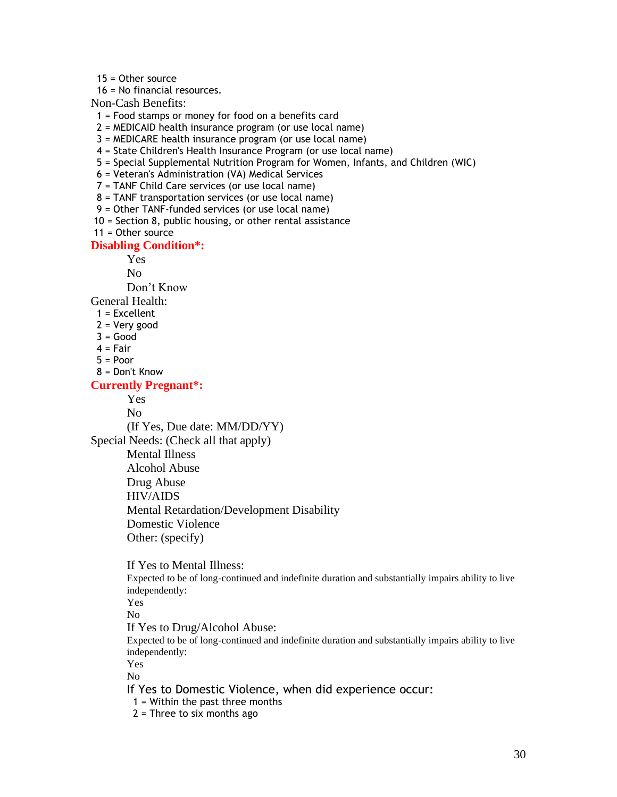15 = Other source

16 = No financial resources.

Non-Cash Benefits:

- 1 = Food stamps or money for food on a benefits card
- 2 = MEDICAID health insurance program (or use local name)
- 3 = MEDICARE health insurance program (or use local name)
- 4 = State Children's Health Insurance Program (or use local name)
- 5 = Special Supplemental Nutrition Program for Women, Infants, and Children (WIC)
- 6 = Veteran's Administration (VA) Medical Services
- 7 = TANF Child Care services (or use local name)
- 8 = TANF transportation services (or use local name)
- 9 = Other TANF-funded services (or use local name)

10 = Section 8, public housing, or other rental assistance

11 = Other source

#### **Disabling Condition\*:**

Yes

No

Don't Know

General Health:

- 1 = Excellent
- 2 = Very good
- $3 = Good$
- $4 = Fair$
- $5 = Poor$
- 8 = Don't Know

#### **Currently Pregnant\*:**

Yes

No

(If Yes, Due date: MM/DD/YY)

Special Needs: (Check all that apply)

Mental Illness Alcohol Abuse

Drug Abuse

HIV/AIDS

- Mental Retardation/Development Disability
- Domestic Violence

Other: (specify)

If Yes to Mental Illness: Expected to be of long-continued and indefinite duration and substantially impairs ability to live independently: Yes

No

If Yes to Drug/Alcohol Abuse:

Expected to be of long-continued and indefinite duration and substantially impairs ability to live independently:

Yes

No

If Yes to Domestic Violence, when did experience occur:

1 = Within the past three months

 $2$  = Three to six months ago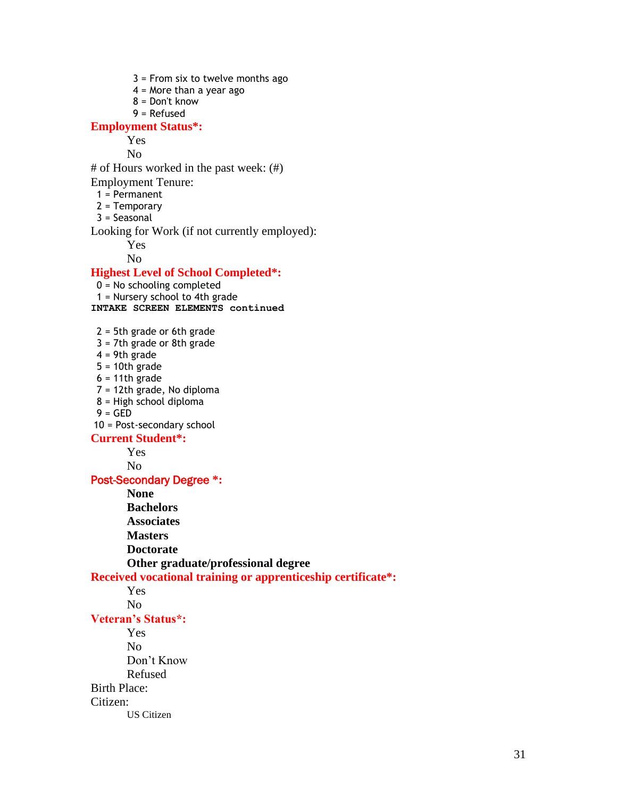3 = From six to twelve months ago  $4$  = More than a year ago 8 = Don't know 9 = Refused **Employment Status\*:** Yes No # of Hours worked in the past week: (#) Employment Tenure:  $1 = Permannent$  2 = Temporary  $3 =$  Seasonal Looking for Work (if not currently employed): Yes No **Highest Level of School Completed\*:** 0 = No schooling completed 1 = Nursery school to 4th grade **INTAKE SCREEN ELEMENTS continued** 2 = 5th grade or 6th grade 3 = 7th grade or 8th grade  $4 = 9th$  grade  $5 = 10$ th grade  $6 = 11$ th grade 7 = 12th grade, No diploma 8 = High school diploma  $9 = GED$ 10 = Post-secondary school **Current Student\*:** Yes No Post-Secondary Degree **\*: None Bachelors Associates Masters Doctorate Other graduate/professional degree Received vocational training or apprenticeship certificate\*:** Yes No **Veteran's Status\*:** Yes No Don't Know Refused Birth Place:

Citizen:

US Citizen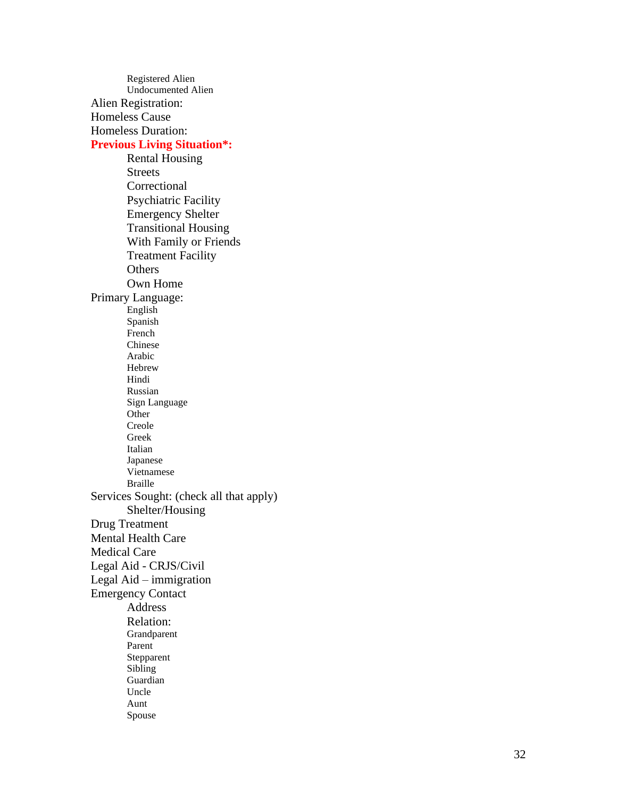Registered Alien Undocumented Alien Alien Registration: Homeless Cause Homeless Duration: **Previous Living Situation\*:** Rental Housing **Streets** Correctional Psychiatric Facility Emergency Shelter Transitional Housing With Family or Friends Treatment Facility **Others** Own Home Primary Language: English Spanish French Chinese Arabic Hebrew Hindi Russian Sign Language Other Creole Gree k Italian Japanese Vietnamese Braille Services Sought: (check all that apply) Shelter/Housing Drug Treatment Mental Health Care Medical Care Legal Aid - CRJS/Civil Legal Aid – immigration Emergency Contact Address Relation: Grandparent Parent Stepparent Sibling Guardian Uncle Aunt Spouse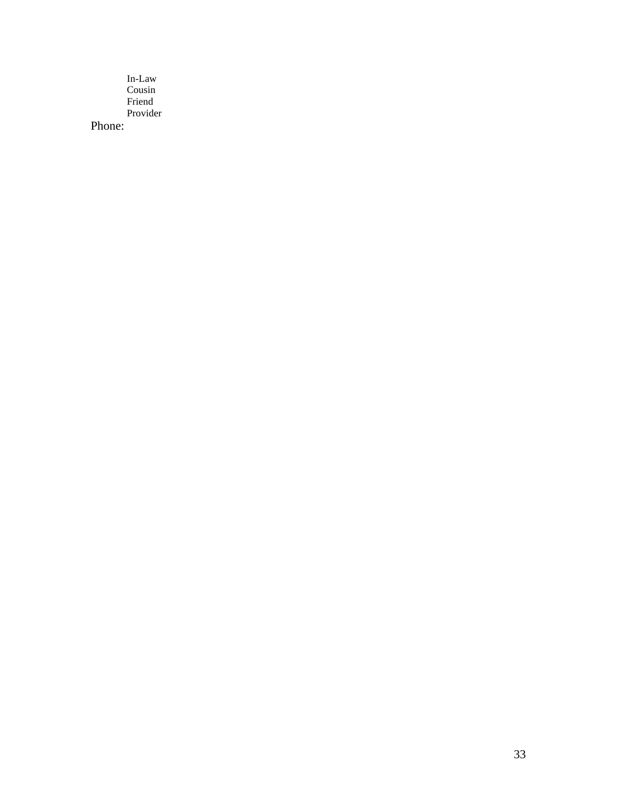In-Law Cousin Friend Provider

Phone: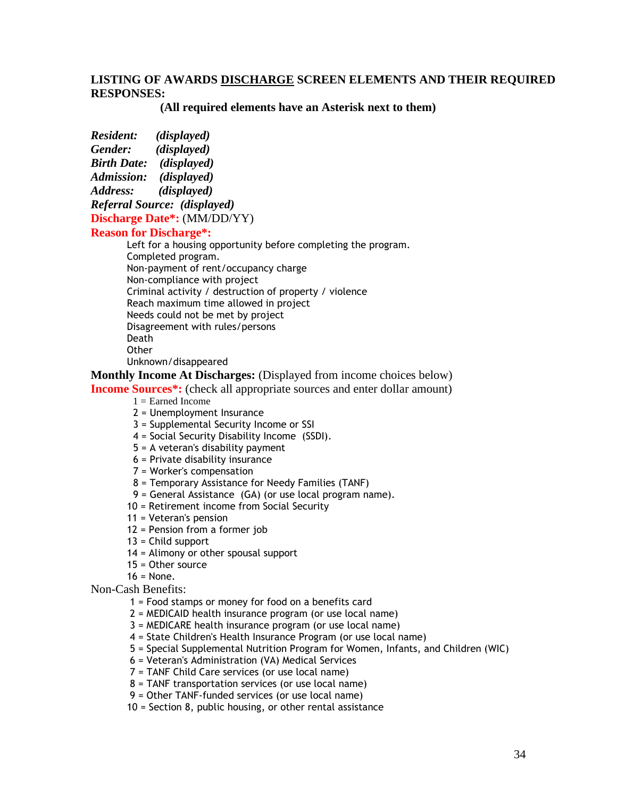#### **LISTING OF AWARDS DISCHARGE SCREEN ELEMENTS AND THEIR REQUIRED RESPONSES:**

 **(All required elements have an Asterisk next to them)**

*Resident: (displayed) Gender: (displayed)*

*Birth Date: (displayed)*

*Admission: (displayed)* 

*Address: (displayed)*

*Referral Source: (displayed)*

**Discharge Date\*:** (MM/DD/YY)

#### **Reason for Discharge\*:**

Left for a housing opportunity before completing the program. Completed program. Non-payment of rent/occupancy charge Non-compliance with project Criminal activity / destruction of property / violence Reach maximum time allowed in project Needs could not be met by project Disagreement with rules/persons Death **Other** Unknown/disappeared

**Monthly Income At Discharges:** (Displayed from income choices below)

**Income Sources<sup>\*</sup>:** (check all appropriate sources and enter dollar amount)

- $1 =$  Earned Income
- 2 = Unemployment Insurance
- 3 = Supplemental Security Income or SSI
- 4 = Social Security Disability Income (SSDI).
- 5 = A veteran's disability payment
- 6 = Private disability insurance
- 7 = Worker's compensation
- 8 = Temporary Assistance for Needy Families (TANF)
- 9 = General Assistance (GA) (or use local program name).
- 10 = Retirement income from Social Security
- 11 = Veteran's pension
- 12 = Pension from a former job
- 13 = Child support
- 14 = Alimony or other spousal support
- 15 = Other source
- $16 = \text{None}$ .

Non-Cash Benefits:

- 1 = Food stamps or money for food on a benefits card
- 2 = MEDICAID health insurance program (or use local name)
- 3 = MEDICARE health insurance program (or use local name)
- 4 = State Children's Health Insurance Program (or use local name)
- 5 = Special Supplemental Nutrition Program for Women, Infants, and Children (WIC)
- 6 = Veteran's Administration (VA) Medical Services
- 7 = TANF Child Care services (or use local name)
- 8 = TANF transportation services (or use local name)
- 9 = Other TANF-funded services (or use local name)
- 10 = Section 8, public housing, or other rental assistance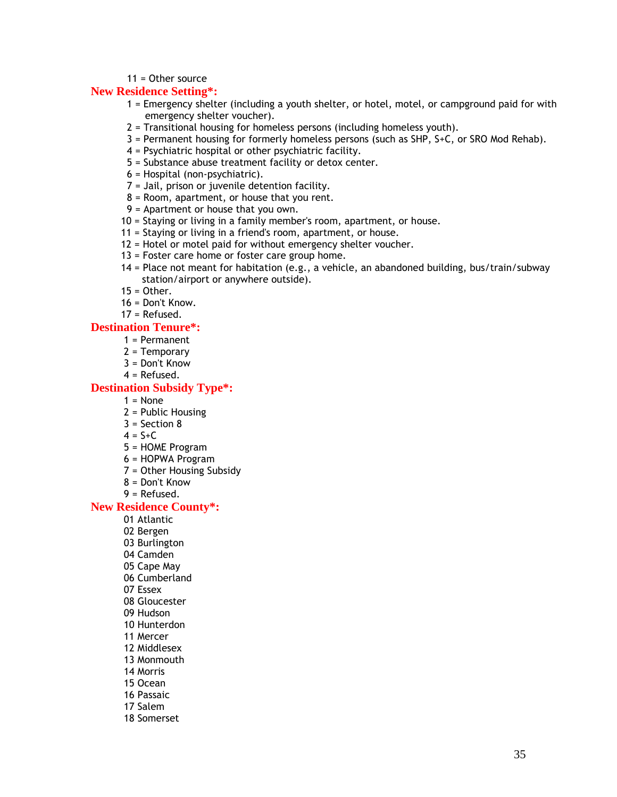#### 11 = Other source

#### **New Residence Setting\*:**

- 1 = Emergency shelter (including a youth shelter, or hotel, motel, or campground paid for with emergency shelter voucher).
- 2 = Transitional housing for homeless persons (including homeless youth).
- 3 = Permanent housing for formerly homeless persons (such as SHP, S+C, or SRO Mod Rehab).
- 4 = Psychiatric hospital or other psychiatric facility.
- 5 = Substance abuse treatment facility or detox center.
- 6 = Hospital (non-psychiatric).
- 7 = Jail, prison or juvenile detention facility.
- 8 = Room, apartment, or house that you rent.
- 9 = Apartment or house that you own.
- 10 = Staying or living in a family member's room, apartment, or house.
- 11 = Staying or living in a friend's room, apartment, or house.
- 12 = Hotel or motel paid for without emergency shelter voucher.
- 13 = Foster care home or foster care group home.
- 14 = Place not meant for habitation (e.g., a vehicle, an abandoned building, bus/train/subway station/airport or anywhere outside).
- $15 =$ Other.
- 16 = Don't Know.
- 17 = Refused.

#### **Destination Tenure\*:**

- 1 = Permanent
- 2 = Temporary
- 3 = Don't Know
- 4 = Refused.

#### **Destination Subsidy Type\*:**

- $1 = \text{None}$
- 2 = Public Housing
- 3 = Section 8
- $4 = S + C$
- 5 = HOME Program
- 6 = HOPWA Program
- 7 = Other Housing Subsidy
- 8 = Don't Know
- 9 = Refused.

#### **New Residence County\*:**

- 01 Atlantic
- 02 Bergen
- 03 Burlington
- 04 Camden
- 05 Cape May
- 06 Cumberland
- 07 Essex
- 08 Gloucester
- 09 Hudson
- 10 Hunterdon
- 11 Mercer
- 12 Middlesex
- 13 Monmouth
- 14 Morris
- 15 Ocean
- 16 Passaic
- 17 Salem
- 18 Somerset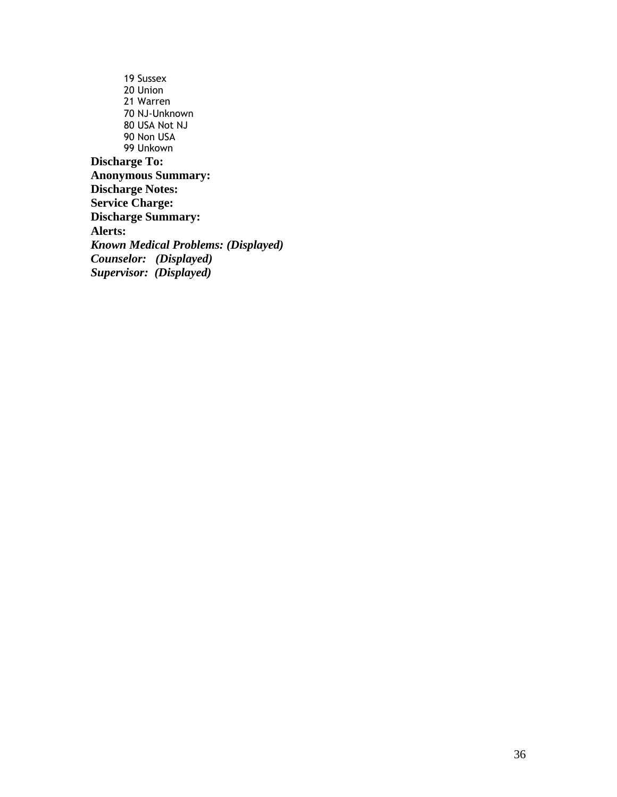19 Sussex 20 Union 21 Warren 70 NJ-Unknown 80 USA Not NJ 90 Non USA 99 Unkown **Discharge To: Anonymous Summary: Discharge Notes: Service Charge: Discharge Summary: Alerts:** *Known Medical Problems: (Displayed) Counselor: (Displayed) Supervisor: (Displayed)*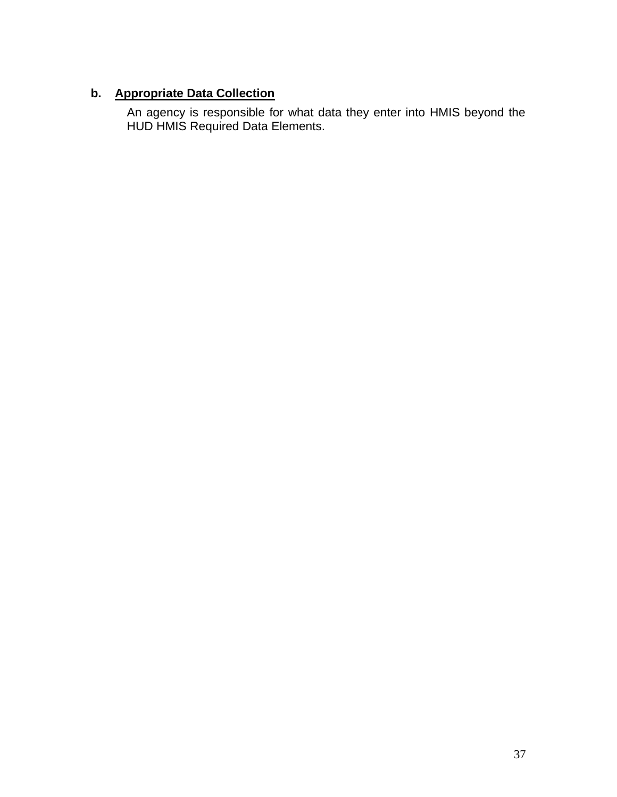# **b. Appropriate Data Collection**

An agency is responsible for what data they enter into HMIS beyond the HUD HMIS Required Data Elements.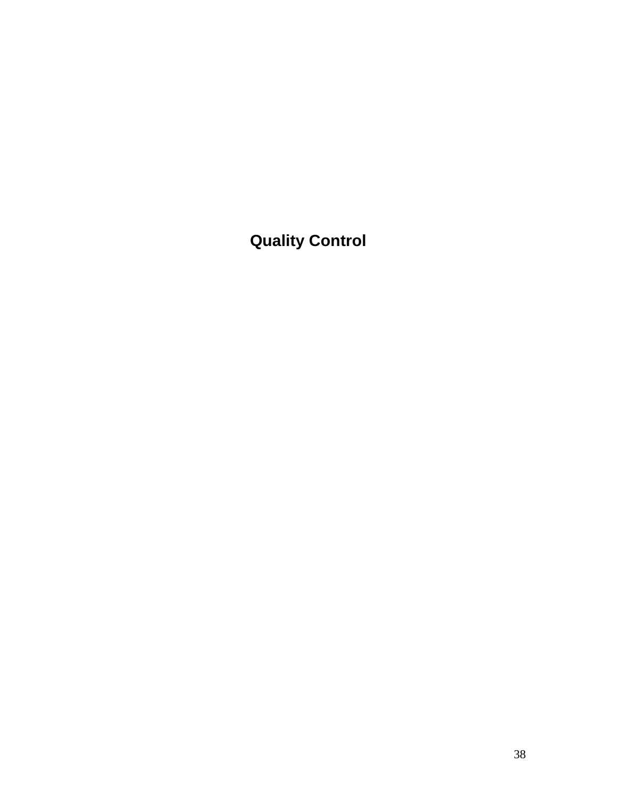**Quality Control**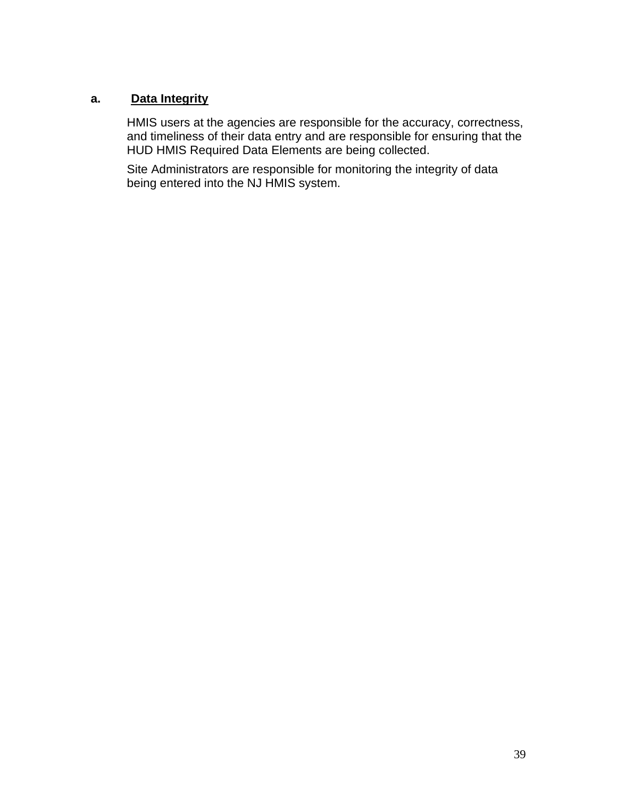### **a. Data Integrity**

HMIS users at the agencies are responsible for the accuracy, correctness, and timeliness of their data entry and are responsible for ensuring that the HUD HMIS Required Data Elements are being collected.

Site Administrators are responsible for monitoring the integrity of data being entered into the NJ HMIS system.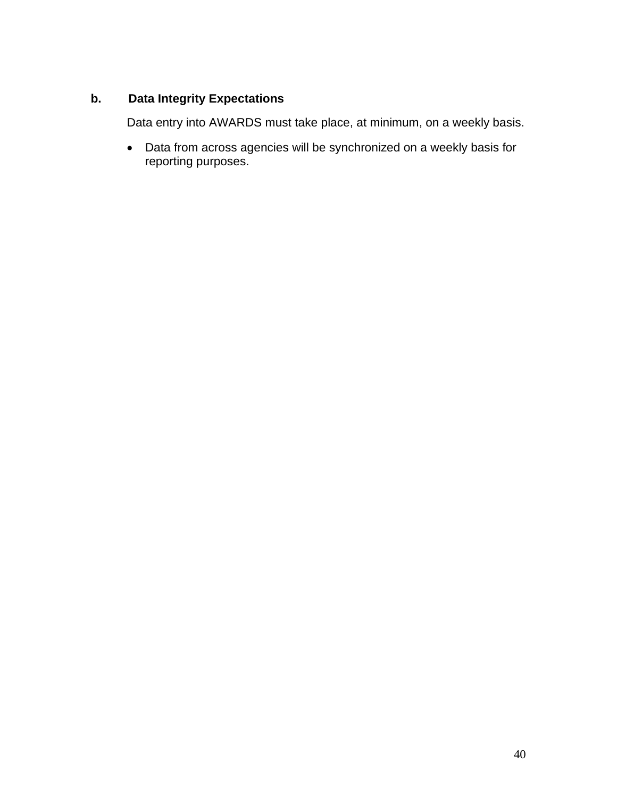### **b. Data Integrity Expectations**

Data entry into AWARDS must take place, at minimum, on a weekly basis.

• Data from across agencies will be synchronized on a weekly basis for reporting purposes.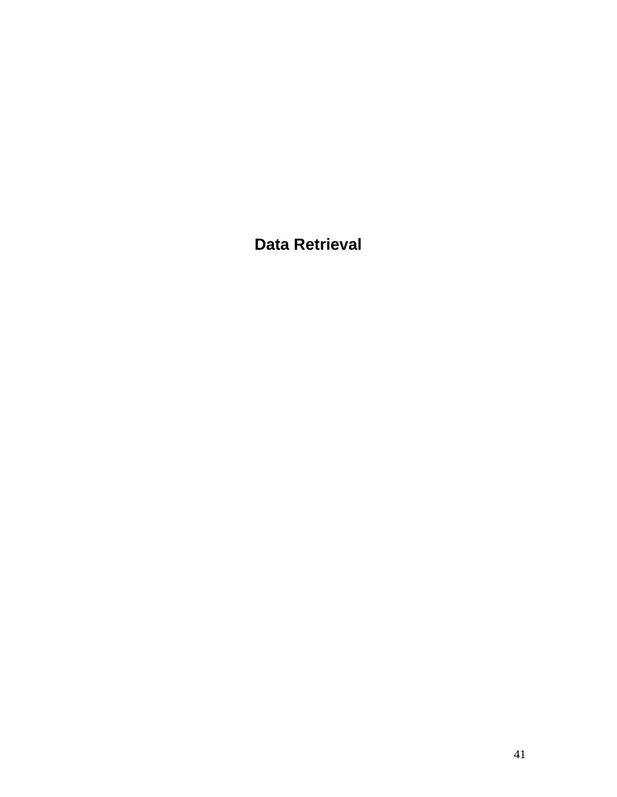**Data Retrieval**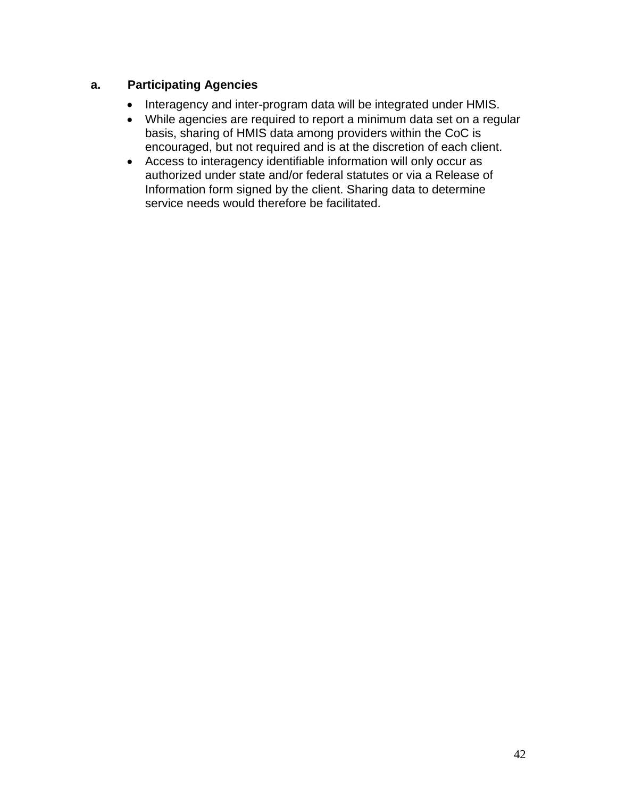### **a. Participating Agencies**

- Interagency and inter-program data will be integrated under HMIS.
- While agencies are required to report a minimum data set on a regular basis, sharing of HMIS data among providers within the CoC is encouraged, but not required and is at the discretion of each client.
- Access to interagency identifiable information will only occur as authorized under state and/or federal statutes or via a Release of Information form signed by the client. Sharing data to determine service needs would therefore be facilitated.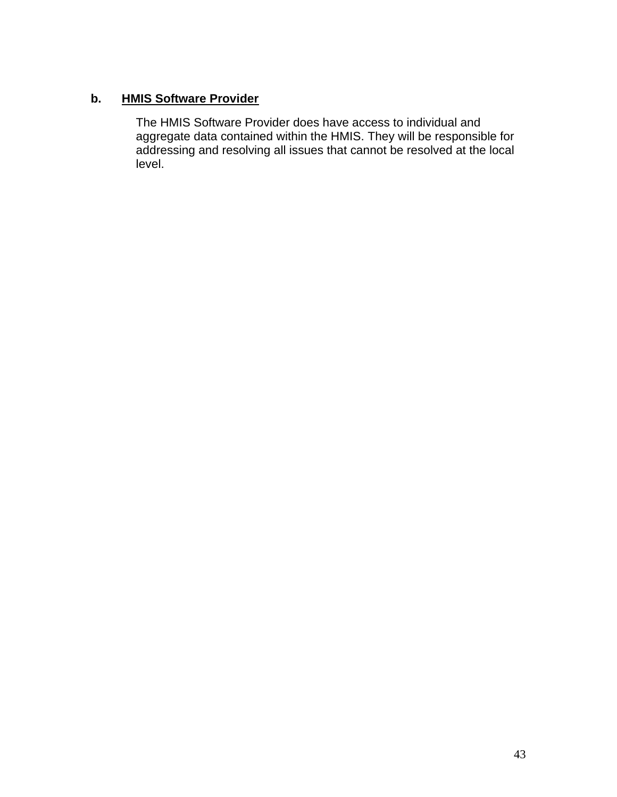### **b. HMIS Software Provider**

The HMIS Software Provider does have access to individual and aggregate data contained within the HMIS. They will be responsible for addressing and resolving all issues that cannot be resolved at the local level.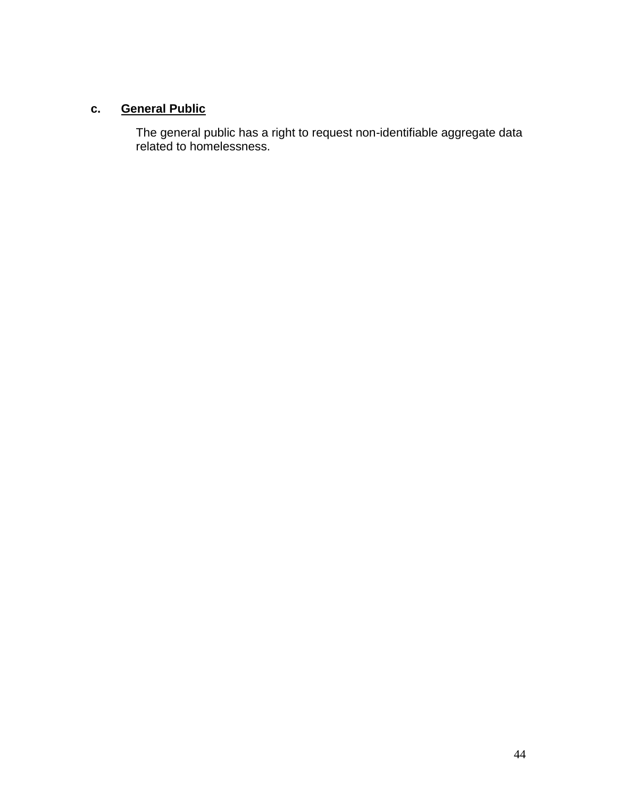# **c. General Public**

The general public has a right to request non-identifiable aggregate data related to homelessness.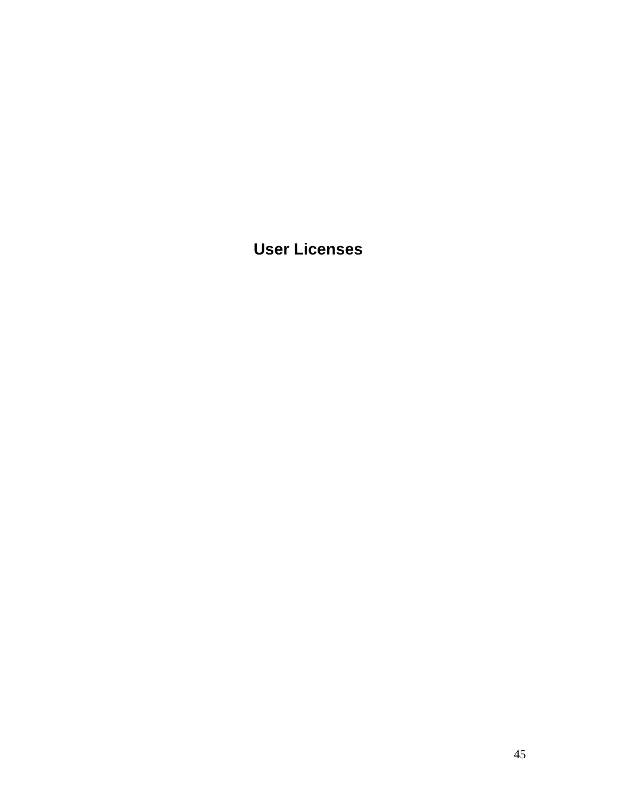**User Licenses**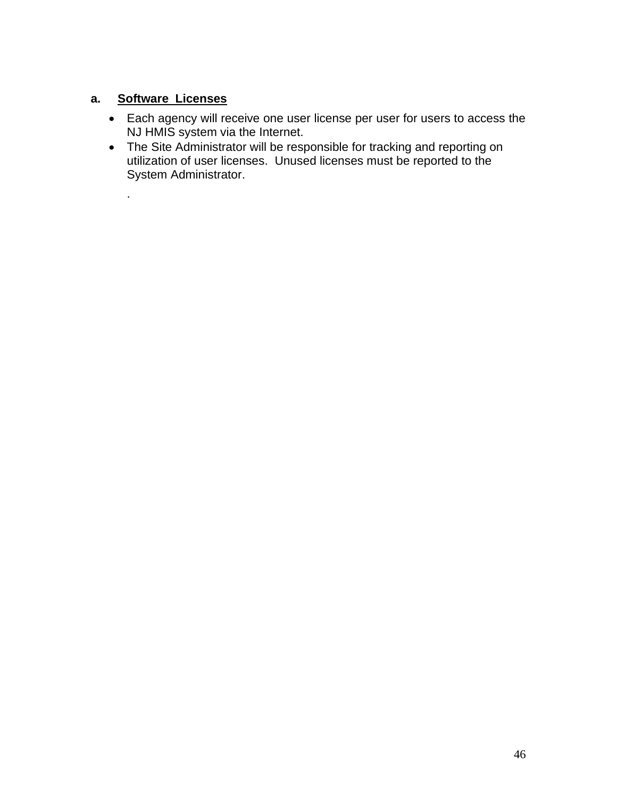### **a. Software Licenses**

.

- Each agency will receive one user license per user for users to access the NJ HMIS system via the Internet.
- The Site Administrator will be responsible for tracking and reporting on utilization of user licenses. Unused licenses must be reported to the System Administrator.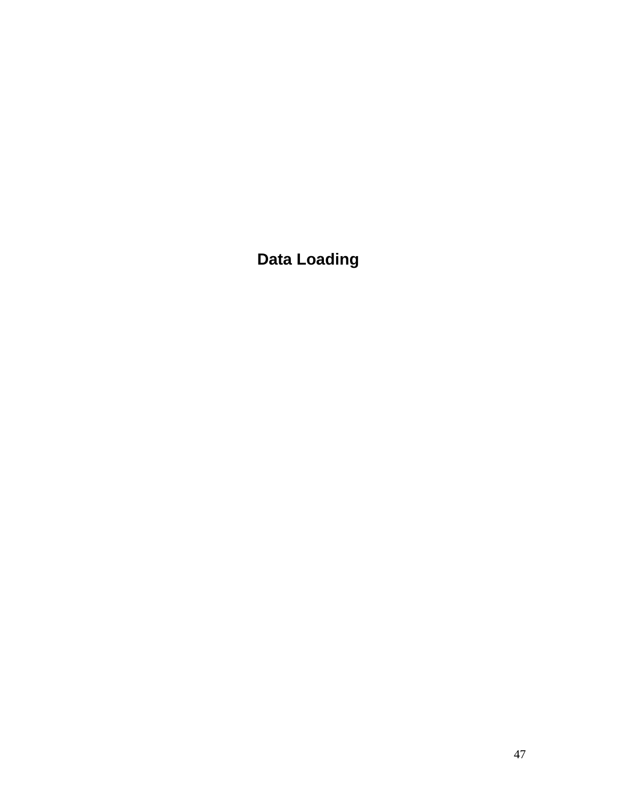**Data Loading**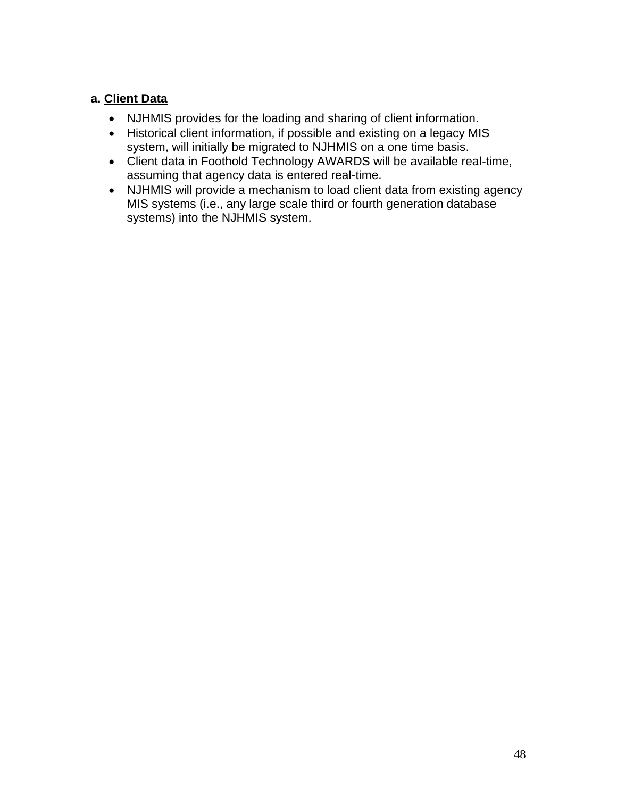### **a. Client Data**

- NJHMIS provides for the loading and sharing of client information.
- Historical client information, if possible and existing on a legacy MIS system, will initially be migrated to NJHMIS on a one time basis.
- Client data in Foothold Technology AWARDS will be available real-time, assuming that agency data is entered real-time.
- NJHMIS will provide a mechanism to load client data from existing agency MIS systems (i.e., any large scale third or fourth generation database systems) into the NJHMIS system.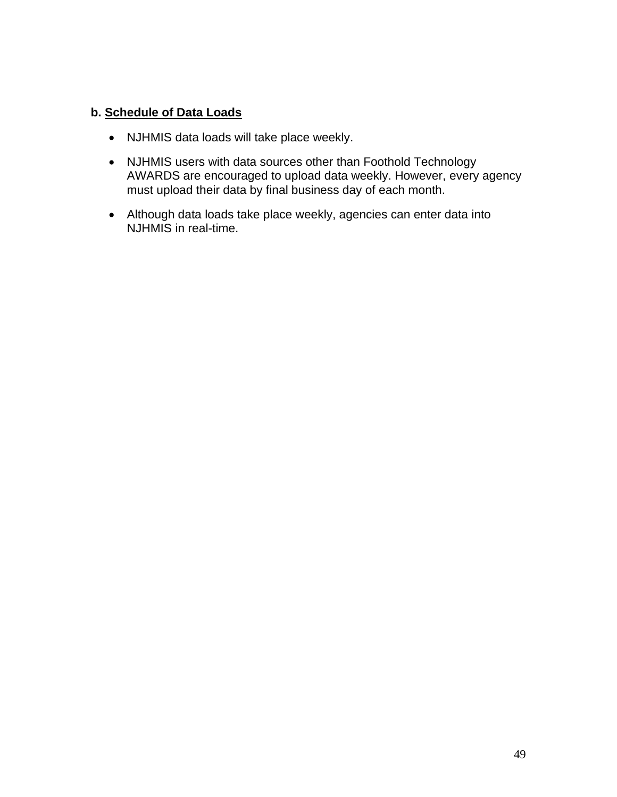### **b. Schedule of Data Loads**

- NJHMIS data loads will take place weekly.
- NJHMIS users with data sources other than Foothold Technology AWARDS are encouraged to upload data weekly. However, every agency must upload their data by final business day of each month.
- Although data loads take place weekly, agencies can enter data into NJHMIS in real-time.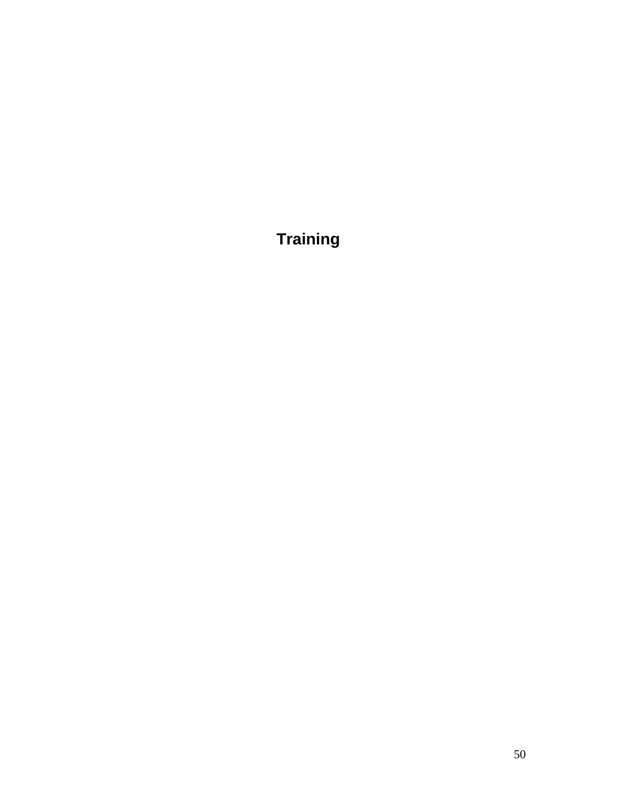**Training**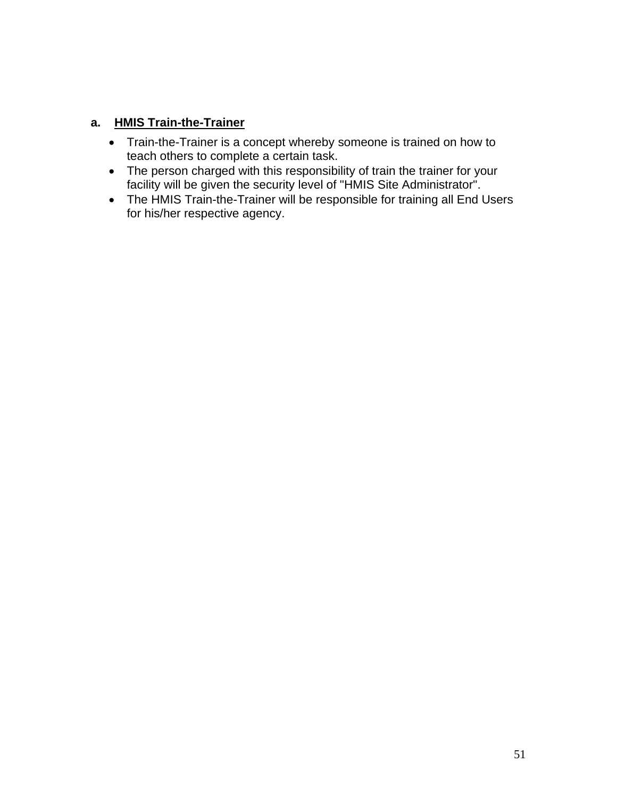### **a. HMIS Train-the-Trainer**

- Train-the-Trainer is a concept whereby someone is trained on how to teach others to complete a certain task.
- The person charged with this responsibility of train the trainer for your facility will be given the security level of "HMIS Site Administrator".
- The HMIS Train-the-Trainer will be responsible for training all End Users for his/her respective agency.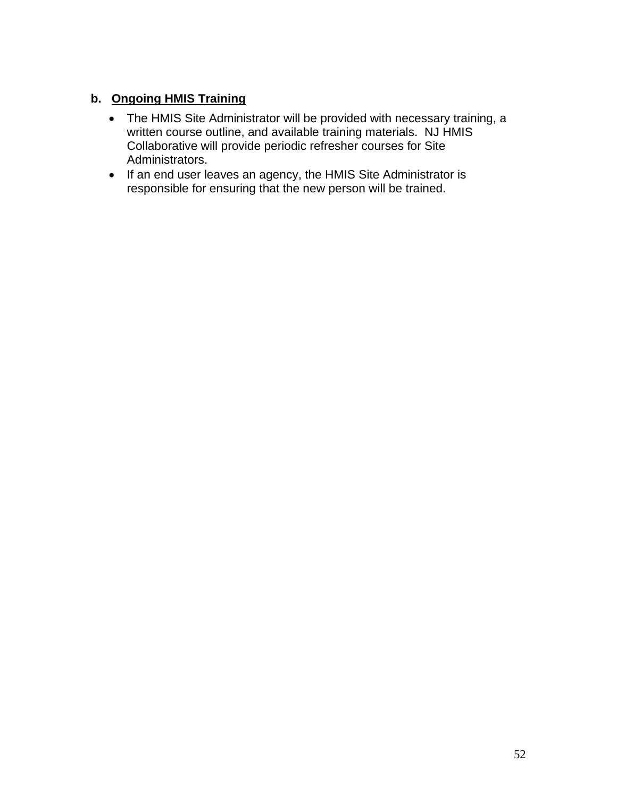### **b. Ongoing HMIS Training**

- The HMIS Site Administrator will be provided with necessary training, a written course outline, and available training materials. NJ HMIS Collaborative will provide periodic refresher courses for Site Administrators.
- If an end user leaves an agency, the HMIS Site Administrator is responsible for ensuring that the new person will be trained.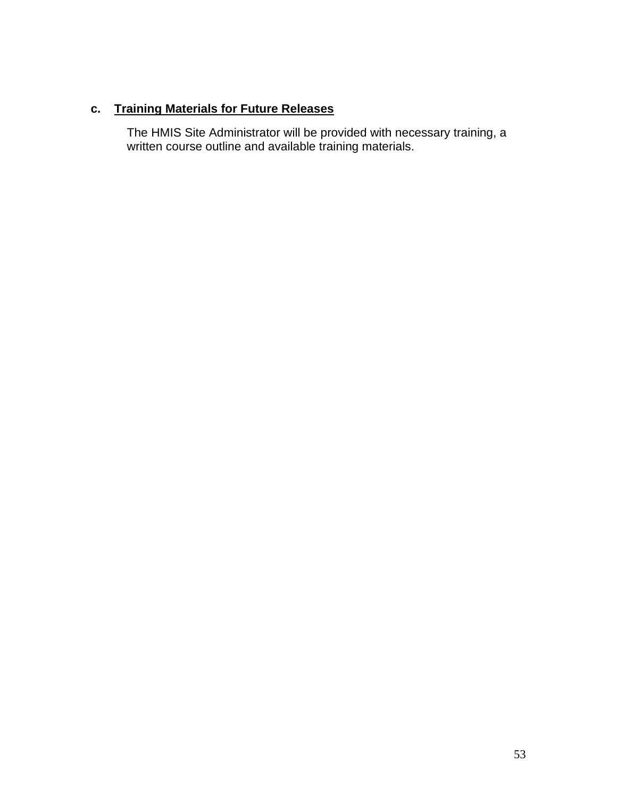# **c. Training Materials for Future Releases**

The HMIS Site Administrator will be provided with necessary training, a written course outline and available training materials.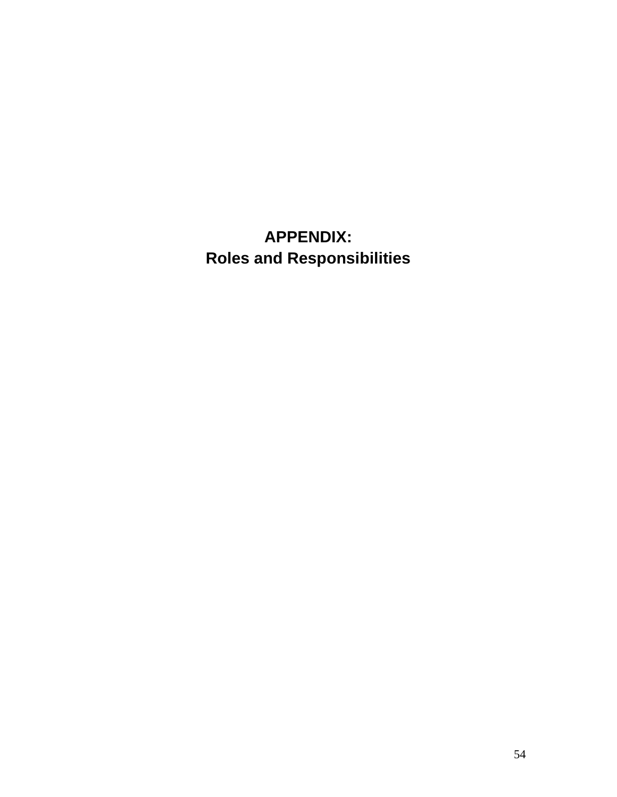**APPENDIX: Roles and Responsibilities**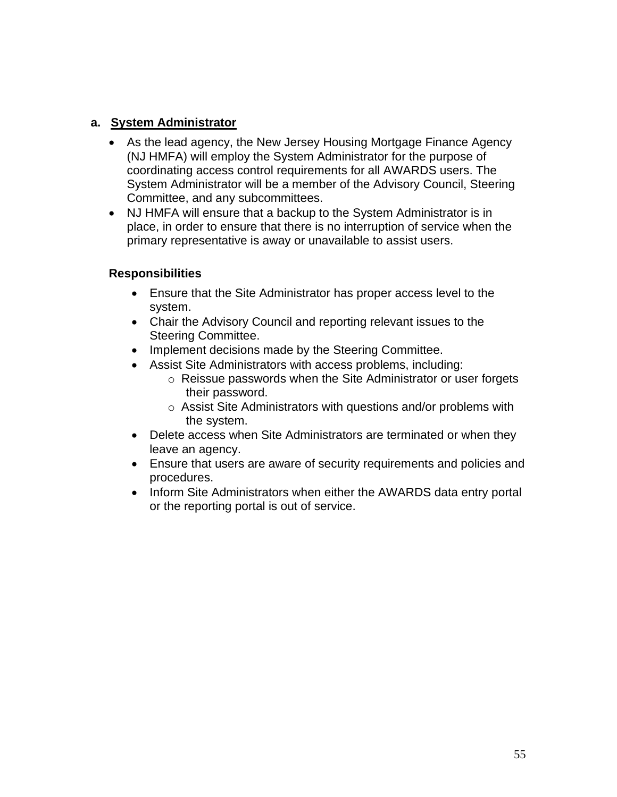### **a. System Administrator**

- As the lead agency, the New Jersey Housing Mortgage Finance Agency (NJ HMFA) will employ the System Administrator for the purpose of coordinating access control requirements for all AWARDS users. The System Administrator will be a member of the Advisory Council, Steering Committee, and any subcommittees.
- NJ HMFA will ensure that a backup to the System Administrator is in place, in order to ensure that there is no interruption of service when the primary representative is away or unavailable to assist users.

- Ensure that the Site Administrator has proper access level to the system.
- Chair the Advisory Council and reporting relevant issues to the Steering Committee.
- Implement decisions made by the Steering Committee.
- Assist Site Administrators with access problems, including:
	- o Reissue passwords when the Site Administrator or user forgets their password.
	- o Assist Site Administrators with questions and/or problems with the system.
- Delete access when Site Administrators are terminated or when they leave an agency.
- Ensure that users are aware of security requirements and policies and procedures.
- Inform Site Administrators when either the AWARDS data entry portal or the reporting portal is out of service.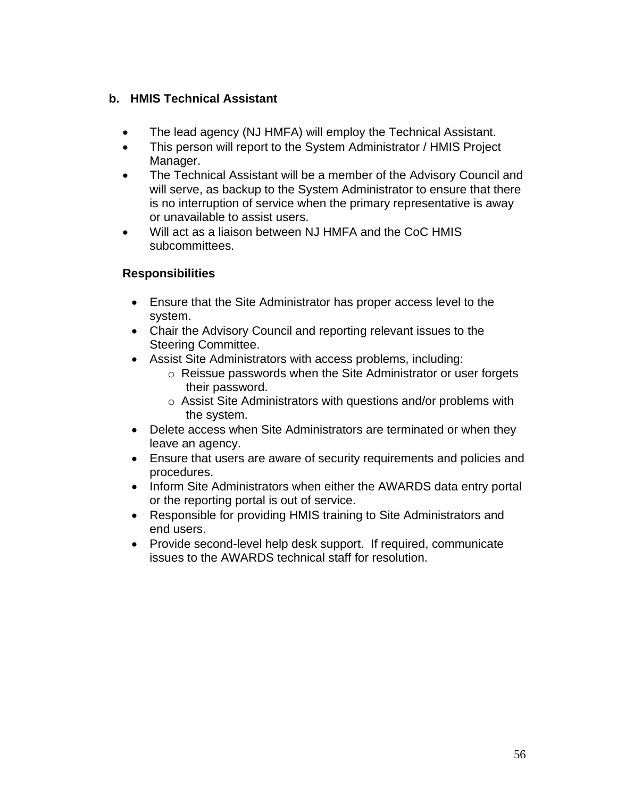### **b. HMIS Technical Assistant**

- The lead agency (NJ HMFA) will employ the Technical Assistant.
- This person will report to the System Administrator / HMIS Project Manager.
- The Technical Assistant will be a member of the Advisory Council and will serve, as backup to the System Administrator to ensure that there is no interruption of service when the primary representative is away or unavailable to assist users.
- Will act as a liaison between NJ HMFA and the CoC HMIS subcommittees.

- Ensure that the Site Administrator has proper access level to the system.
- Chair the Advisory Council and reporting relevant issues to the Steering Committee.
- Assist Site Administrators with access problems, including:
	- o Reissue passwords when the Site Administrator or user forgets their password.
	- o Assist Site Administrators with questions and/or problems with the system.
- Delete access when Site Administrators are terminated or when they leave an agency.
- Ensure that users are aware of security requirements and policies and procedures.
- Inform Site Administrators when either the AWARDS data entry portal or the reporting portal is out of service.
- Responsible for providing HMIS training to Site Administrators and end users.
- Provide second-level help desk support. If required, communicate issues to the AWARDS technical staff for resolution.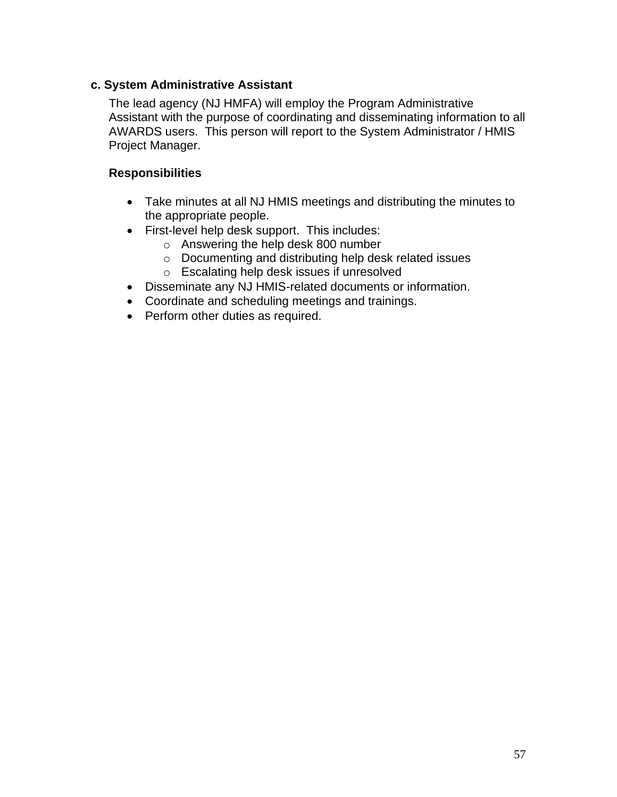### **c. System Administrative Assistant**

The lead agency (NJ HMFA) will employ the Program Administrative Assistant with the purpose of coordinating and disseminating information to all AWARDS users. This person will report to the System Administrator / HMIS Project Manager.

- Take minutes at all NJ HMIS meetings and distributing the minutes to the appropriate people.
- First-level help desk support. This includes:
	- o Answering the help desk 800 number
		- o Documenting and distributing help desk related issues
		- o Escalating help desk issues if unresolved
- Disseminate any NJ HMIS-related documents or information.
- Coordinate and scheduling meetings and trainings.
- Perform other duties as required.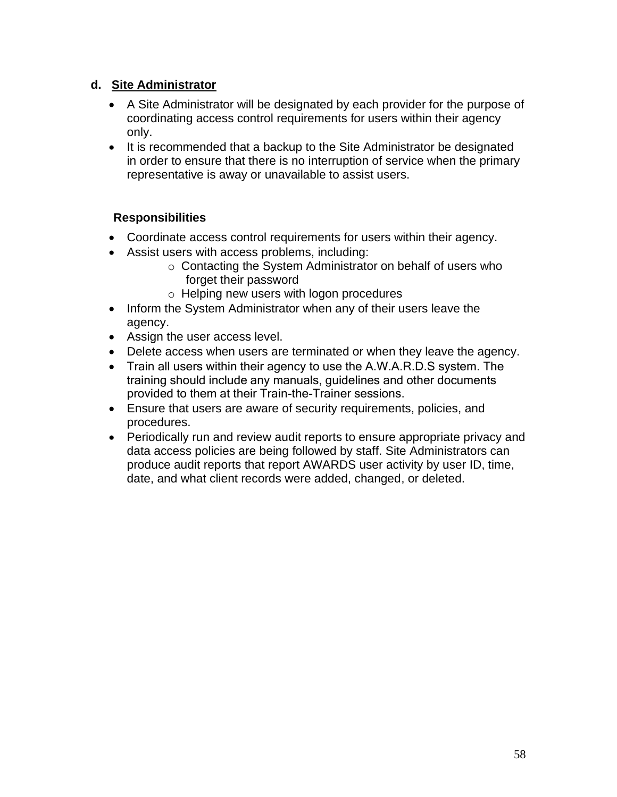### **d. Site Administrator**

- A Site Administrator will be designated by each provider for the purpose of coordinating access control requirements for users within their agency only.
- It is recommended that a backup to the Site Administrator be designated in order to ensure that there is no interruption of service when the primary representative is away or unavailable to assist users.

- Coordinate access control requirements for users within their agency.
- Assist users with access problems, including:
	- o Contacting the System Administrator on behalf of users who forget their password
	- o Helping new users with logon procedures
- Inform the System Administrator when any of their users leave the agency.
- Assign the user access level.
- Delete access when users are terminated or when they leave the agency.
- Train all users within their agency to use the A.W.A.R.D.S system. The training should include any manuals, guidelines and other documents provided to them at their Train-the-Trainer sessions.
- Ensure that users are aware of security requirements, policies, and procedures.
- Periodically run and review audit reports to ensure appropriate privacy and data access policies are being followed by staff. Site Administrators can produce audit reports that report AWARDS user activity by user ID, time, date, and what client records were added, changed, or deleted.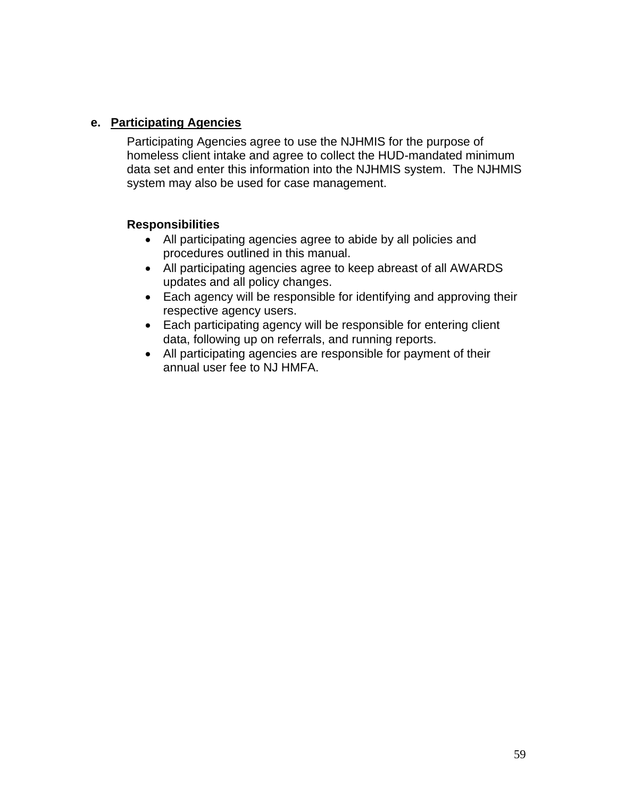### **e. Participating Agencies**

Participating Agencies agree to use the NJHMIS for the purpose of homeless client intake and agree to collect the HUD-mandated minimum data set and enter this information into the NJHMIS system. The NJHMIS system may also be used for case management.

- All participating agencies agree to abide by all policies and procedures outlined in this manual.
- All participating agencies agree to keep abreast of all AWARDS updates and all policy changes.
- Each agency will be responsible for identifying and approving their respective agency users.
- Each participating agency will be responsible for entering client data, following up on referrals, and running reports.
- All participating agencies are responsible for payment of their annual user fee to NJ HMFA.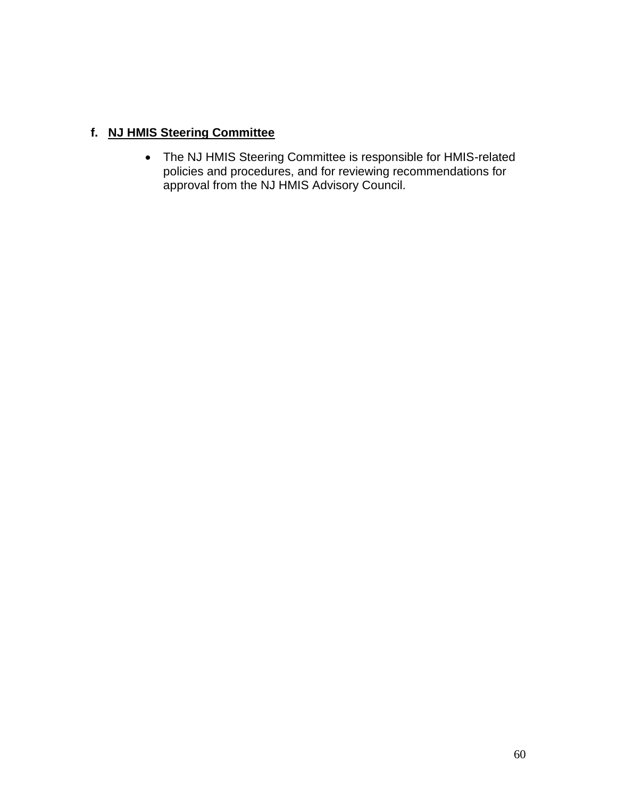### **f. NJ HMIS Steering Committee**

• The NJ HMIS Steering Committee is responsible for HMIS-related policies and procedures, and for reviewing recommendations for approval from the NJ HMIS Advisory Council.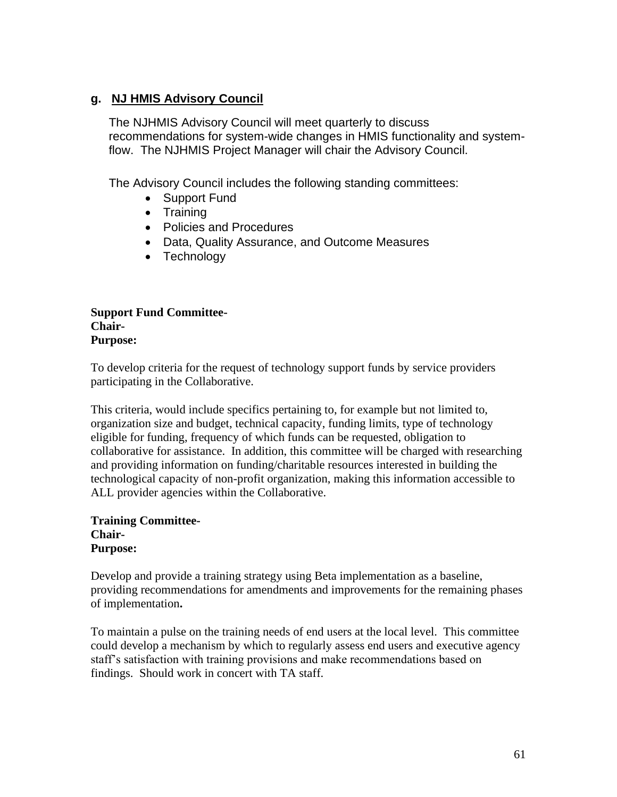### **g. NJ HMIS Advisory Council**

The NJHMIS Advisory Council will meet quarterly to discuss recommendations for system-wide changes in HMIS functionality and systemflow. The NJHMIS Project Manager will chair the Advisory Council.

The Advisory Council includes the following standing committees:

- Support Fund
- Training
- Policies and Procedures
- Data, Quality Assurance, and Outcome Measures
- Technology

### **Support Fund Committee-Chair-Purpose:**

To develop criteria for the request of technology support funds by service providers participating in the Collaborative.

This criteria, would include specifics pertaining to, for example but not limited to, organization size and budget, technical capacity, funding limits, type of technology eligible for funding, frequency of which funds can be requested, obligation to collaborative for assistance. In addition, this committee will be charged with researching and providing information on funding/charitable resources interested in building the technological capacity of non-profit organization, making this information accessible to ALL provider agencies within the Collaborative.

**Training Committee-Chair-Purpose:**

Develop and provide a training strategy using Beta implementation as a baseline, providing recommendations for amendments and improvements for the remaining phases of implementation**.** 

To maintain a pulse on the training needs of end users at the local level. This committee could develop a mechanism by which to regularly assess end users and executive agency staff's satisfaction with training provisions and make recommendations based on findings. Should work in concert with TA staff.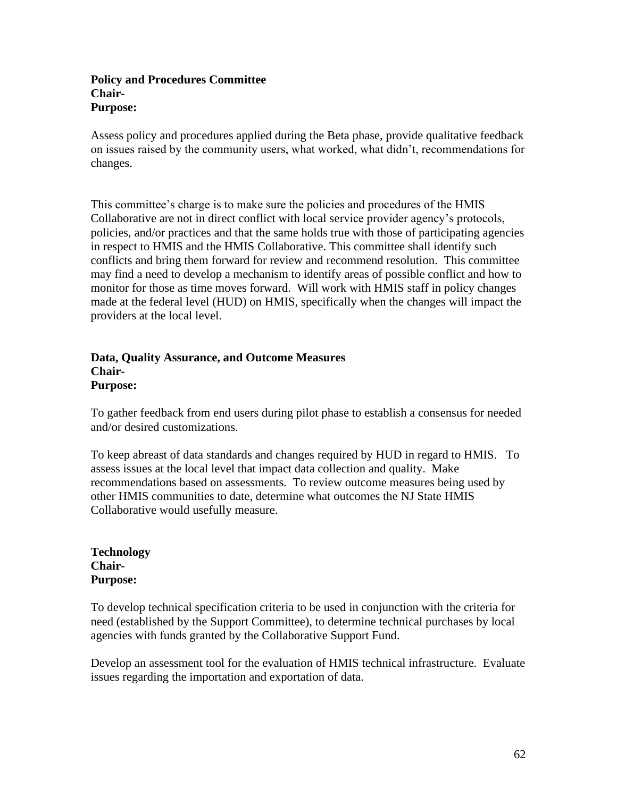#### **Policy and Procedures Committee Chair-Purpose:**

Assess policy and procedures applied during the Beta phase, provide qualitative feedback on issues raised by the community users, what worked, what didn't, recommendations for changes.

This committee's charge is to make sure the policies and procedures of the HMIS Collaborative are not in direct conflict with local service provider agency's protocols, policies, and/or practices and that the same holds true with those of participating agencies in respect to HMIS and the HMIS Collaborative. This committee shall identify such conflicts and bring them forward for review and recommend resolution. This committee may find a need to develop a mechanism to identify areas of possible conflict and how to monitor for those as time moves forward. Will work with HMIS staff in policy changes made at the federal level (HUD) on HMIS, specifically when the changes will impact the providers at the local level.

#### **Data, Quality Assurance, and Outcome Measures Chair-Purpose:**

To gather feedback from end users during pilot phase to establish a consensus for needed and/or desired customizations.

To keep abreast of data standards and changes required by HUD in regard to HMIS. To assess issues at the local level that impact data collection and quality. Make recommendations based on assessments. To review outcome measures being used by other HMIS communities to date, determine what outcomes the NJ State HMIS Collaborative would usefully measure.

#### **Technology Chair-Purpose:**

To develop technical specification criteria to be used in conjunction with the criteria for need (established by the Support Committee), to determine technical purchases by local agencies with funds granted by the Collaborative Support Fund.

Develop an assessment tool for the evaluation of HMIS technical infrastructure. Evaluate issues regarding the importation and exportation of data.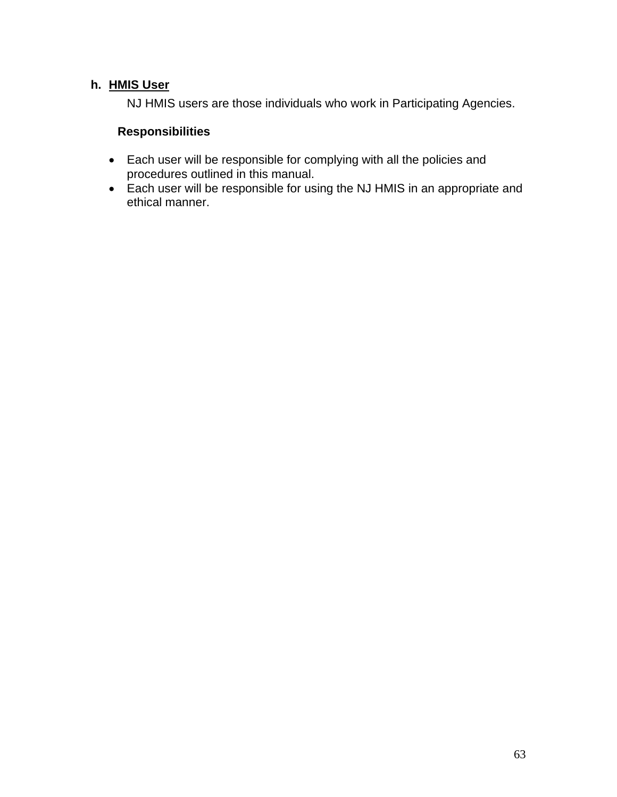### **h. HMIS User**

NJ HMIS users are those individuals who work in Participating Agencies.

- Each user will be responsible for complying with all the policies and procedures outlined in this manual.
- Each user will be responsible for using the NJ HMIS in an appropriate and ethical manner.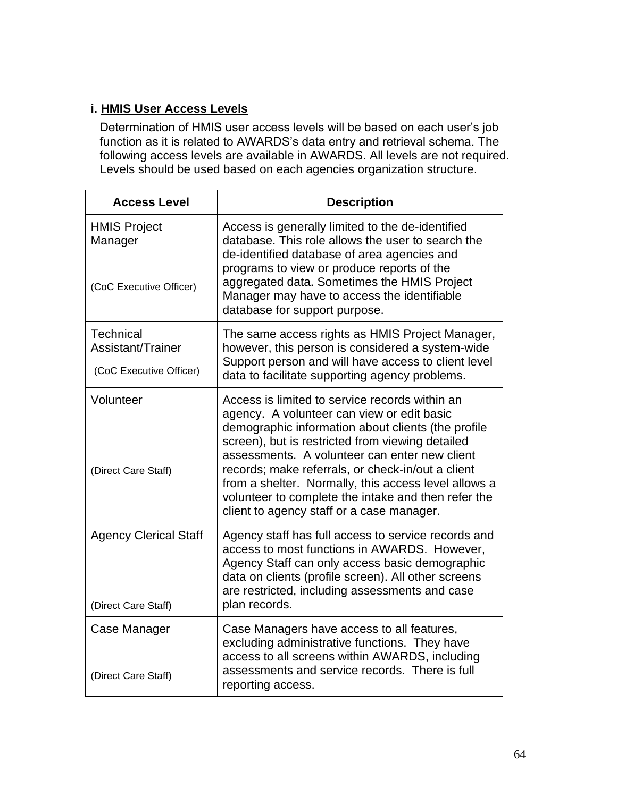### **i. HMIS User Access Levels**

Determination of HMIS user access levels will be based on each user's job function as it is related to AWARDS's data entry and retrieval schema. The following access levels are available in AWARDS. All levels are not required. Levels should be used based on each agencies organization structure.

| <b>Access Level</b>                                              | <b>Description</b>                                                                                                                                                                                                                                                                                                                                                                                                                                                       |
|------------------------------------------------------------------|--------------------------------------------------------------------------------------------------------------------------------------------------------------------------------------------------------------------------------------------------------------------------------------------------------------------------------------------------------------------------------------------------------------------------------------------------------------------------|
| <b>HMIS Project</b><br>Manager<br>(CoC Executive Officer)        | Access is generally limited to the de-identified<br>database. This role allows the user to search the<br>de-identified database of area agencies and<br>programs to view or produce reports of the<br>aggregated data. Sometimes the HMIS Project<br>Manager may have to access the identifiable<br>database for support purpose.                                                                                                                                        |
| <b>Technical</b><br>Assistant/Trainer<br>(CoC Executive Officer) | The same access rights as HMIS Project Manager,<br>however, this person is considered a system-wide<br>Support person and will have access to client level<br>data to facilitate supporting agency problems.                                                                                                                                                                                                                                                             |
| Volunteer<br>(Direct Care Staff)                                 | Access is limited to service records within an<br>agency. A volunteer can view or edit basic<br>demographic information about clients (the profile<br>screen), but is restricted from viewing detailed<br>assessments. A volunteer can enter new client<br>records; make referrals, or check-in/out a client<br>from a shelter. Normally, this access level allows a<br>volunteer to complete the intake and then refer the<br>client to agency staff or a case manager. |
| <b>Agency Clerical Staff</b><br>(Direct Care Staff)              | Agency staff has full access to service records and<br>access to most functions in AWARDS. However,<br>Agency Staff can only access basic demographic<br>data on clients (profile screen). All other screens<br>are restricted, including assessments and case<br>plan records.                                                                                                                                                                                          |
| Case Manager<br>(Direct Care Staff)                              | Case Managers have access to all features,<br>excluding administrative functions. They have<br>access to all screens within AWARDS, including<br>assessments and service records. There is full<br>reporting access.                                                                                                                                                                                                                                                     |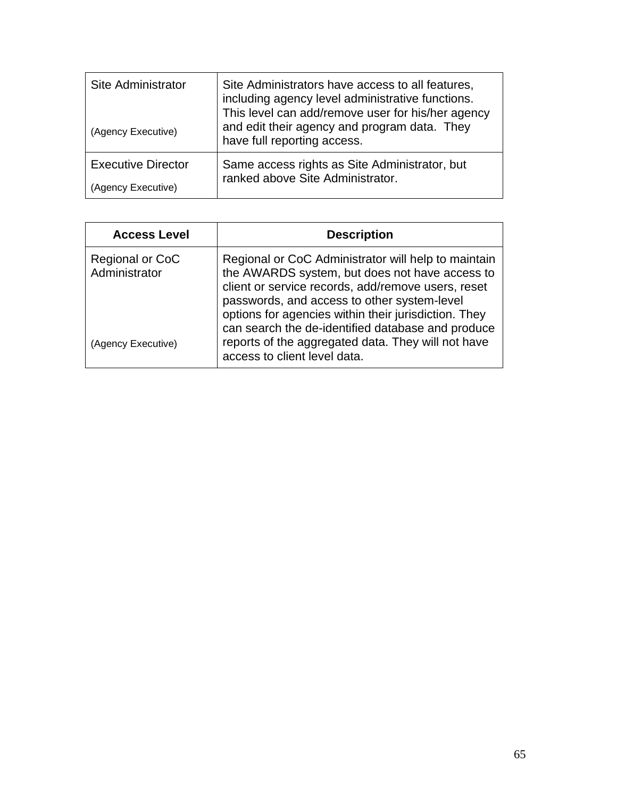| Site Administrator        | Site Administrators have access to all features,<br>including agency level administrative functions.<br>This level can add/remove user for his/her agency |
|---------------------------|-----------------------------------------------------------------------------------------------------------------------------------------------------------|
| (Agency Executive)        | and edit their agency and program data. They<br>have full reporting access.                                                                               |
| <b>Executive Director</b> | Same access rights as Site Administrator, but<br>ranked above Site Administrator.                                                                         |
| (Agency Executive)        |                                                                                                                                                           |

| <b>Access Level</b>              | <b>Description</b>                                                                                                                                                                                                                                                 |
|----------------------------------|--------------------------------------------------------------------------------------------------------------------------------------------------------------------------------------------------------------------------------------------------------------------|
| Regional or CoC<br>Administrator | Regional or CoC Administrator will help to maintain<br>the AWARDS system, but does not have access to<br>client or service records, add/remove users, reset<br>passwords, and access to other system-level<br>options for agencies within their jurisdiction. They |
| (Agency Executive)               | can search the de-identified database and produce<br>reports of the aggregated data. They will not have<br>access to client level data.                                                                                                                            |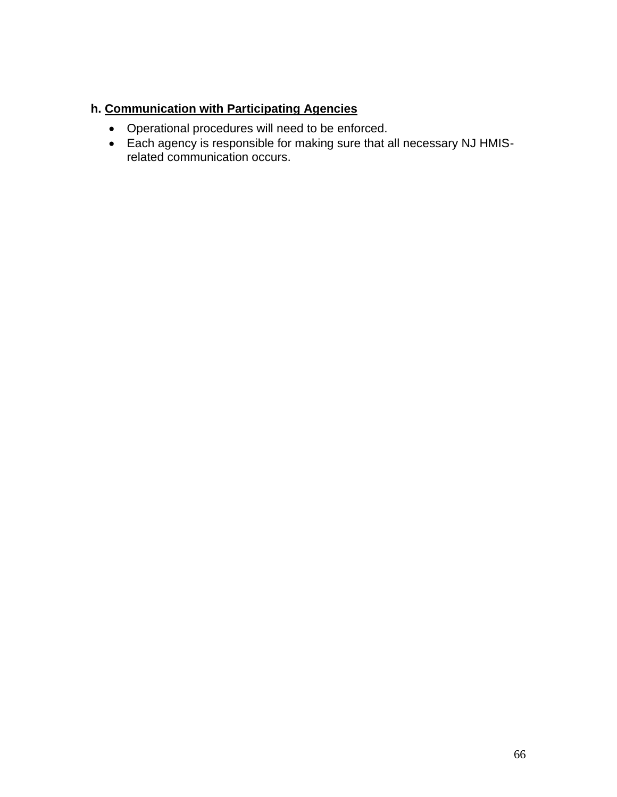# **h. Communication with Participating Agencies**

- Operational procedures will need to be enforced.
- Each agency is responsible for making sure that all necessary NJ HMISrelated communication occurs.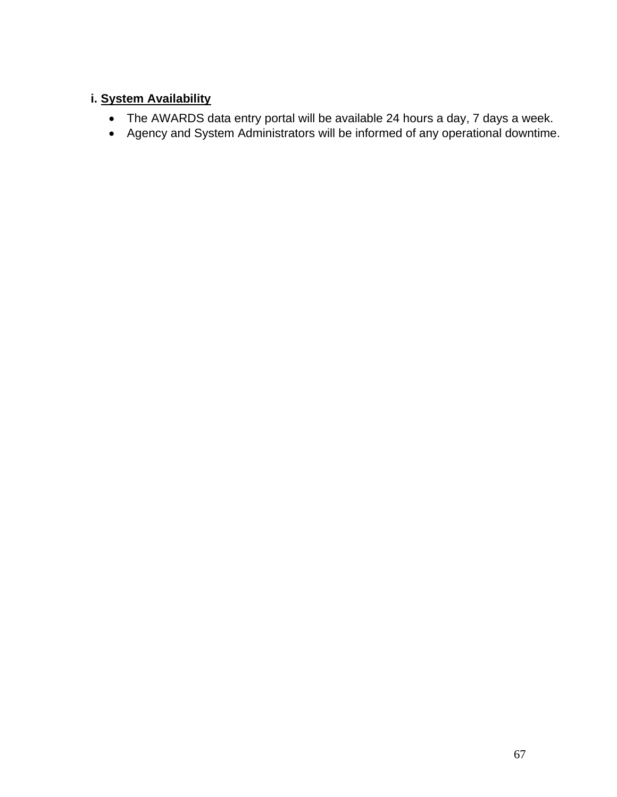# **i. System Availability**

- The AWARDS data entry portal will be available 24 hours a day, 7 days a week.
- Agency and System Administrators will be informed of any operational downtime.